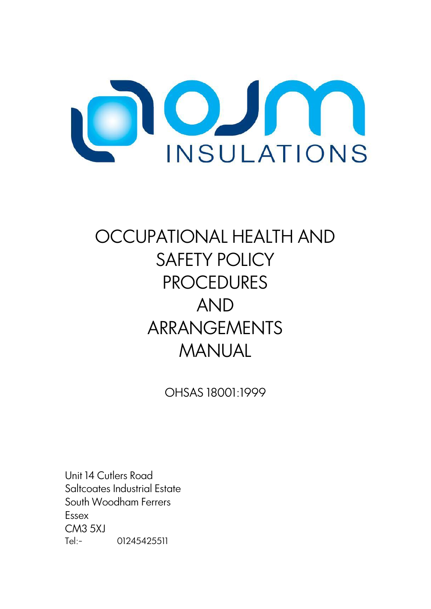

# OCCUPATIONAL HEALTH AND SAFETY POLICY **PROCEDURES** AND ARRANGEMENTS MANUAL

OHSAS 18001:1999

Unit 14 Cutlers Road Saltcoates Industrial Estate South Woodham Ferrers Essex CM3 5XJ Tel:- 01245425511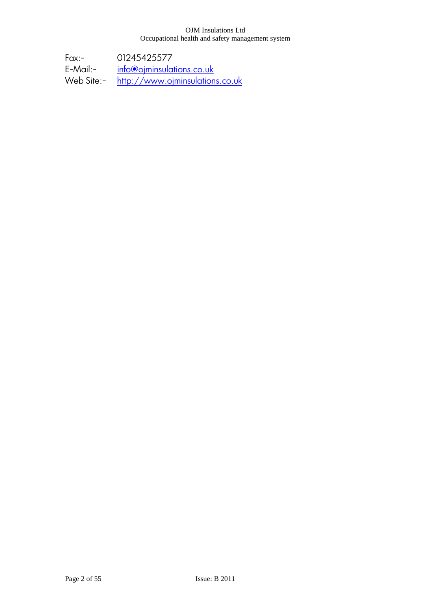Fax:- 01245425577<br>E-Mail:- info@ojminsula E-Mail:- <u>[info@ojminsulations.co.uk](mailto:info@ojminsulations.co.uk)</u><br>Web Site:- <u>http://www.ojminsulation</u> [http://www.ojminsulations.co.uk](http://www.ojminsulations.co.uk/)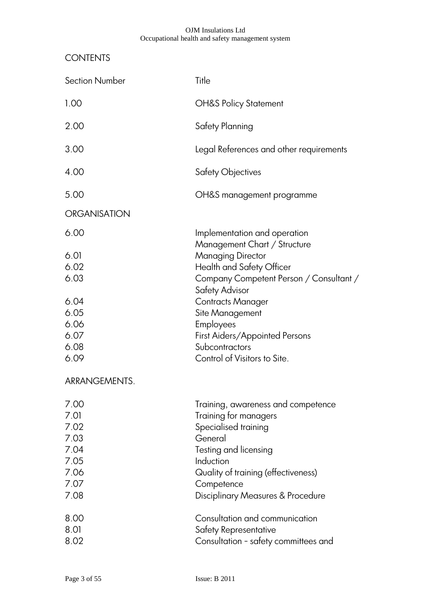# **CONTENTS**

| <b>Section Number</b>                                                | Title                                                                                                                                                                                                                                                                                              |
|----------------------------------------------------------------------|----------------------------------------------------------------------------------------------------------------------------------------------------------------------------------------------------------------------------------------------------------------------------------------------------|
| 1.00                                                                 | <b>OH&amp;S Policy Statement</b>                                                                                                                                                                                                                                                                   |
| 2.00                                                                 | Safety Planning                                                                                                                                                                                                                                                                                    |
| 3.00                                                                 | Legal References and other requirements                                                                                                                                                                                                                                                            |
| 4.00                                                                 | Safety Objectives                                                                                                                                                                                                                                                                                  |
| 5.00                                                                 | OH&S management programme                                                                                                                                                                                                                                                                          |
| <b>ORGANISATION</b>                                                  |                                                                                                                                                                                                                                                                                                    |
| 6.00                                                                 | Implementation and operation                                                                                                                                                                                                                                                                       |
| 6.01<br>6.02<br>6.03<br>6.04<br>6.05<br>6.06<br>6.07<br>6.08<br>6.09 | Management Chart / Structure<br><b>Managing Director</b><br>Health and Safety Officer<br>Company Competent Person / Consultant /<br>Safety Advisor<br><b>Contracts Manager</b><br>Site Management<br>Employees<br>First Aiders/Appointed Persons<br>Subcontractors<br>Control of Visitors to Site. |
| ARRANGEMENTS.                                                        |                                                                                                                                                                                                                                                                                                    |
| 7.00<br>7.01<br>7.02<br>7.03<br>7.04<br>7.05<br>7.06<br>7.07<br>7.08 | Training, awareness and competence<br>Training for managers<br>Specialised training<br>General<br>Testing and licensing<br>Induction<br>Quality of training (effectiveness)<br>Competence<br><b>Disciplinary Measures &amp; Procedure</b>                                                          |
| 8.00<br>8.01<br>8.02                                                 | Consultation and communication<br>Safety Representative<br>Consultation - safety committees and                                                                                                                                                                                                    |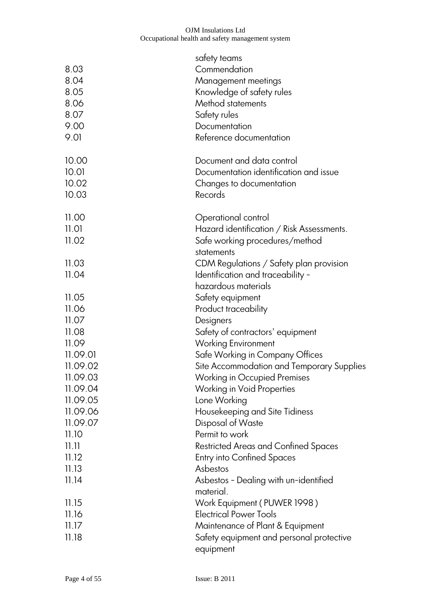| 8.03<br>8.04<br>8.05<br>8.06<br>8.07<br>9.00<br>9.01 | satety teams<br>Commendation<br>Management meetings<br>Knowledge of safety rules<br>Method statements<br>Safety rules<br>Documentation<br>Reference documentation |
|------------------------------------------------------|-------------------------------------------------------------------------------------------------------------------------------------------------------------------|
| 10.00                                                | Document and data control                                                                                                                                         |
| 10.01                                                | Documentation identification and issue                                                                                                                            |
| 10.02                                                | Changes to documentation                                                                                                                                          |
| 10.03                                                | Records                                                                                                                                                           |
| 11.00<br>11.01<br>11.02                              | Operational control<br>Hazard identification / Risk Assessments.<br>Safe working procedures/method<br>statements                                                  |
| 11.03<br>11.04                                       | CDM Regulations / Safety plan provision<br>Identification and traceability -<br>hazardous materials                                                               |
| 11.05                                                | Safety equipment                                                                                                                                                  |
| 11.06                                                | Product traceability                                                                                                                                              |
| 11.07                                                | Designers                                                                                                                                                         |
| 11.08                                                | Safety of contractors' equipment                                                                                                                                  |
| 11.09                                                | <b>Working Environment</b>                                                                                                                                        |
| 11.09.01                                             | Safe Working in Company Offices                                                                                                                                   |
| 11.09.02                                             | Site Accommodation and Temporary Supplies                                                                                                                         |
| 11.09.03                                             | <b>Working in Occupied Premises</b>                                                                                                                               |
| 11.09.04                                             | Working in Void Properties                                                                                                                                        |
| 11.09.05                                             | Lone Working                                                                                                                                                      |
| 11.09.06                                             | Housekeeping and Site Tidiness                                                                                                                                    |
| 11.09.07                                             | Disposal of Waste                                                                                                                                                 |
| 11.10                                                | Permit to work                                                                                                                                                    |
| 11.11                                                | <b>Restricted Areas and Confined Spaces</b>                                                                                                                       |
| 11.12                                                | <b>Entry into Confined Spaces</b>                                                                                                                                 |
| 11.13                                                | Asbestos                                                                                                                                                          |
| 11.14                                                | Asbestos - Dealing with un-identified<br>material.                                                                                                                |
| 11.15                                                | Work Equipment (PUWER 1998)                                                                                                                                       |
| 11.16                                                | <b>Electrical Power Tools</b>                                                                                                                                     |
| 11.17                                                | Maintenance of Plant & Equipment                                                                                                                                  |
| 11.18                                                | Safety equipment and personal protective<br>equipment                                                                                                             |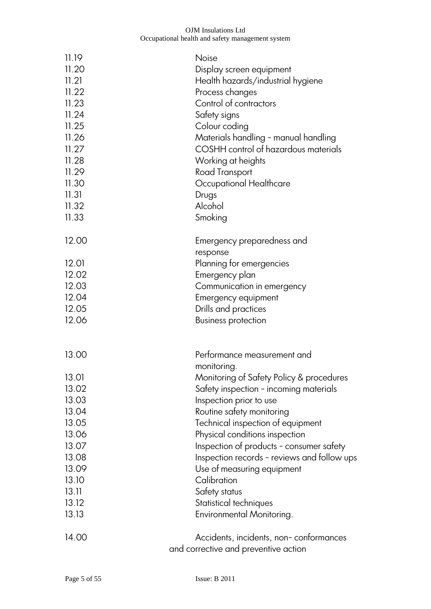| 11.19<br>11.20<br>11.21<br>11.22<br>11.23<br>11.24<br>11.25<br>11.26<br>11.27<br>11.28<br>11.29<br>11.30 | <b>Noise</b><br>Display screen equipment<br>Health hazards/industrial hygiene<br>Process changes<br>Control of contractors<br>Safety signs<br>Colour coding<br>Materials handling - manual handling<br>COSHH control of hazardous materials<br>Working at heights<br>Road Transport<br>Occupational Healthcare |
|----------------------------------------------------------------------------------------------------------|----------------------------------------------------------------------------------------------------------------------------------------------------------------------------------------------------------------------------------------------------------------------------------------------------------------|
| 11.31                                                                                                    | Drugs                                                                                                                                                                                                                                                                                                          |
| 11.32                                                                                                    | Alcohol                                                                                                                                                                                                                                                                                                        |
| 11.33                                                                                                    | Smoking                                                                                                                                                                                                                                                                                                        |
| 12.00                                                                                                    | Emergency preparedness and<br>response                                                                                                                                                                                                                                                                         |
| 12.01                                                                                                    | Planning for emergencies                                                                                                                                                                                                                                                                                       |
| 12.02                                                                                                    | Emergency plan                                                                                                                                                                                                                                                                                                 |
| 12.03                                                                                                    | Communication in emergency                                                                                                                                                                                                                                                                                     |
| 12.04<br>12.05                                                                                           | Emergency equipment<br>Drills and practices                                                                                                                                                                                                                                                                    |
| 12.06                                                                                                    | <b>Business protection</b>                                                                                                                                                                                                                                                                                     |
|                                                                                                          |                                                                                                                                                                                                                                                                                                                |
| 13.00                                                                                                    | Performance measurement and<br>monitoring.                                                                                                                                                                                                                                                                     |
| 13.01                                                                                                    | Monitoring of Safety Policy & procedures                                                                                                                                                                                                                                                                       |
| 13.02                                                                                                    | Safety inspection - incoming materials                                                                                                                                                                                                                                                                         |
| 13.03                                                                                                    | Inspection prior to use                                                                                                                                                                                                                                                                                        |
| 13.04                                                                                                    | Routine safety monitoring                                                                                                                                                                                                                                                                                      |
| 13.05<br>13.06                                                                                           | Technical inspection of equipment<br>Physical conditions inspection                                                                                                                                                                                                                                            |
| 13.07                                                                                                    | Inspection of products - consumer safety                                                                                                                                                                                                                                                                       |
| 13.08                                                                                                    | Inspection records - reviews and follow ups                                                                                                                                                                                                                                                                    |
| 13.09                                                                                                    | Use of measuring equipment                                                                                                                                                                                                                                                                                     |
| 13.10                                                                                                    | Calibration                                                                                                                                                                                                                                                                                                    |
| 13.11                                                                                                    | Safety status                                                                                                                                                                                                                                                                                                  |
| 13.12                                                                                                    | Statistical techniques                                                                                                                                                                                                                                                                                         |
| 13.13                                                                                                    | Environmental Monitoring.                                                                                                                                                                                                                                                                                      |
| 14.00                                                                                                    | Accidents, incidents, non-conformances                                                                                                                                                                                                                                                                         |
|                                                                                                          | and corrective and preventive action                                                                                                                                                                                                                                                                           |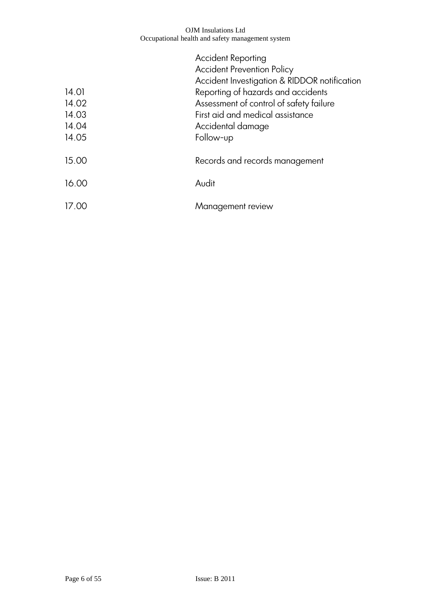|       | <b>Accident Reporting</b>                    |
|-------|----------------------------------------------|
|       | <b>Accident Prevention Policy</b>            |
|       | Accident Investigation & RIDDOR notification |
| 14.01 | Reporting of hazards and accidents           |
| 14.02 | Assessment of control of safety failure      |
| 14.03 | First aid and medical assistance             |
| 14.04 | Accidental damage                            |
| 14.05 | Follow-up                                    |
| 15.00 | Records and records management               |
| 16.00 | Audit                                        |
| 17.00 | Management review                            |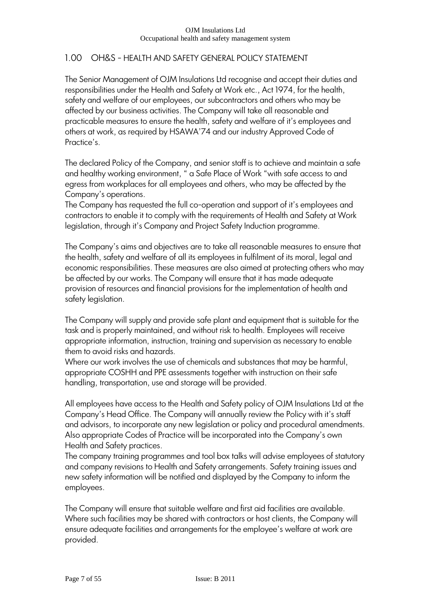# 1.00 OH&S - HEALTH AND SAFETY GENERAL POLICY STATEMENT

The Senior Management of OJM Insulations Ltd recognise and accept their duties and responsibilities under the Health and Safety at Work etc., Act 1974, for the health, safety and welfare of our employees, our subcontractors and others who may be affected by our business activities. The Company will take all reasonable and practicable measures to ensure the health, safety and welfare of it"s employees and others at work, as required by HSAWA"74 and our industry Approved Code of Practice's.

The declared Policy of the Company, and senior staff is to achieve and maintain a safe and healthy working environment, " a Safe Place of Work "with safe access to and egress from workplaces for all employees and others, who may be affected by the Company"s operations.

The Company has requested the full co-operation and support of it"s employees and contractors to enable it to comply with the requirements of Health and Safety at Work legislation, through it's Company and Project Safety Induction programme.

The Company's aims and objectives are to take all reasonable measures to ensure that the health, safety and welfare of all its employees in fulfilment of its moral, legal and economic responsibilities. These measures are also aimed at protecting others who may be affected by our works. The Company will ensure that it has made adequate provision of resources and financial provisions for the implementation of health and safety legislation.

The Company will supply and provide safe plant and equipment that is suitable for the task and is properly maintained, and without risk to health. Employees will receive appropriate information, instruction, training and supervision as necessary to enable them to avoid risks and hazards.

Where our work involves the use of chemicals and substances that may be harmful, appropriate COSHH and PPE assessments together with instruction on their safe handling, transportation, use and storage will be provided.

All employees have access to the Health and Safety policy of OJM Insulations Ltd at the Company's Head Office. The Company will annually review the Policy with it's staff and advisors, to incorporate any new legislation or policy and procedural amendments. Also appropriate Codes of Practice will be incorporated into the Company"s own Health and Safety practices.

The company training programmes and tool box talks will advise employees of statutory and company revisions to Health and Safety arrangements. Safety training issues and new safety information will be notified and displayed by the Company to inform the employees.

The Company will ensure that suitable welfare and first aid facilities are available. Where such facilities may be shared with contractors or host clients, the Company will ensure adequate facilities and arrangements for the employee's welfare at work are provided.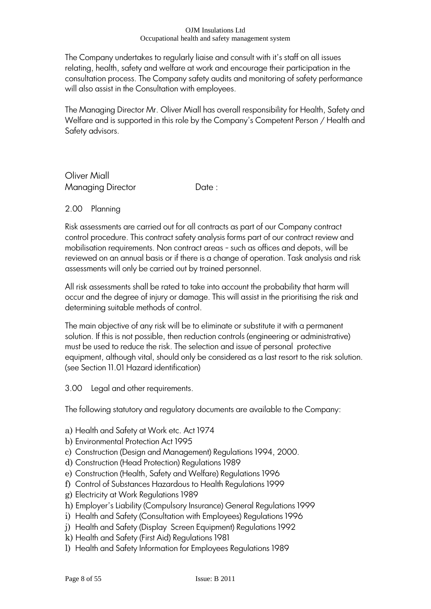The Company undertakes to regularly liaise and consult with it's staff on all issues relating, health, safety and welfare at work and encourage their participation in the consultation process. The Company safety audits and monitoring of safety performance will also assist in the Consultation with employees.

The Managing Director Mr. Oliver Miall has overall responsibility for Health, Safety and Welfare and is supported in this role by the Company"s Competent Person / Health and Safety advisors.

Oliver Miall Managing Director **Date:** 

# 2.00 Planning

Risk assessments are carried out for all contracts as part of our Company contract control procedure. This contract safety analysis forms part of our contract review and mobilisation requirements. Non contract areas - such as offices and depots, will be reviewed on an annual basis or if there is a change of operation. Task analysis and risk assessments will only be carried out by trained personnel.

All risk assessments shall be rated to take into account the probability that harm will occur and the degree of injury or damage. This will assist in the prioritising the risk and determining suitable methods of control.

The main objective of any risk will be to eliminate or substitute it with a permanent solution. If this is not possible, then reduction controls (engineering or administrative) must be used to reduce the risk. The selection and issue of personal protective equipment, although vital, should only be considered as a last resort to the risk solution. (see Section 11.01 Hazard identification)

3.00 Legal and other requirements.

The following statutory and regulatory documents are available to the Company:

- a) Health and Safety at Work etc. Act 1974
- b) Environmental Protection Act 1995
- c) Construction (Design and Management) Regulations 1994, 2000.
- d) Construction (Head Protection) Regulations 1989
- e) Construction (Health, Safety and Welfare) Regulations 1996
- f) Control of Substances Hazardous to Health Regulations 1999
- g) Electricity at Work Regulations 1989
- h) Employer"s Liability (Compulsory Insurance) General Regulations 1999
- i) Health and Safety (Consultation with Employees) Regulations 1996
- j) Health and Safety (Display Screen Equipment) Regulations 1992
- k) Health and Safety (First Aid) Regulations 1981
- l) Health and Safety Information for Employees Regulations 1989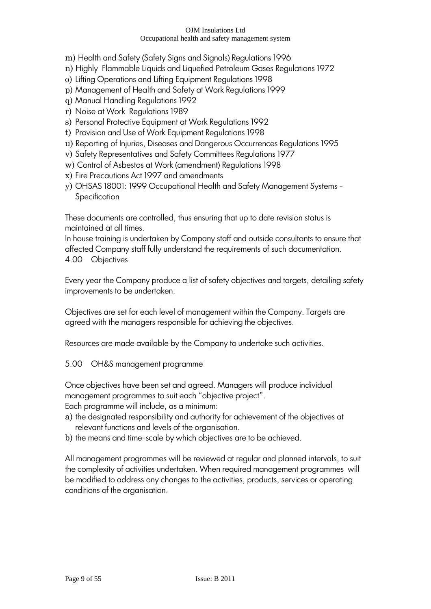- m) Health and Safety (Safety Signs and Signals) Regulations 1996
- n) Highly Flammable Liquids and Liquefied Petroleum Gases Regulations 1972
- o) Lifting Operations and Lifting Equipment Regulations 1998
- p) Management of Health and Safety at Work Regulations 1999
- q) Manual Handling Regulations 1992
- r) Noise at Work Regulations 1989
- s) Personal Protective Equipment at Work Regulations 1992
- t) Provision and Use of Work Equipment Regulations 1998
- u) Reporting of Injuries, Diseases and Dangerous Occurrences Regulations 1995
- v) Safety Representatives and Safety Committees Regulations 1977
- w) Control of Asbestos at Work (amendment) Regulations 1998
- x) Fire Precautions Act 1997 and amendments
- y) OHSAS 18001: 1999 Occupational Health and Safety Management Systems Specification

These documents are controlled, thus ensuring that up to date revision status is maintained at all times.

In house training is undertaken by Company staff and outside consultants to ensure that affected Company staff fully understand the requirements of such documentation. 4.00 Objectives

Every year the Company produce a list of safety objectives and targets, detailing safety improvements to be undertaken.

Objectives are set for each level of management within the Company. Targets are agreed with the managers responsible for achieving the objectives.

Resources are made available by the Company to undertake such activities.

5.00 OH&S management programme

Once objectives have been set and agreed. Managers will produce individual management programmes to suit each "objective project".

Each programme will include, as a minimum:

- a) the designated responsibility and authority for achievement of the objectives at relevant functions and levels of the organisation.
- b) the means and time-scale by which objectives are to be achieved.

All management programmes will be reviewed at regular and planned intervals, to suit the complexity of activities undertaken. When required management programmes will be modified to address any changes to the activities, products, services or operating conditions of the organisation.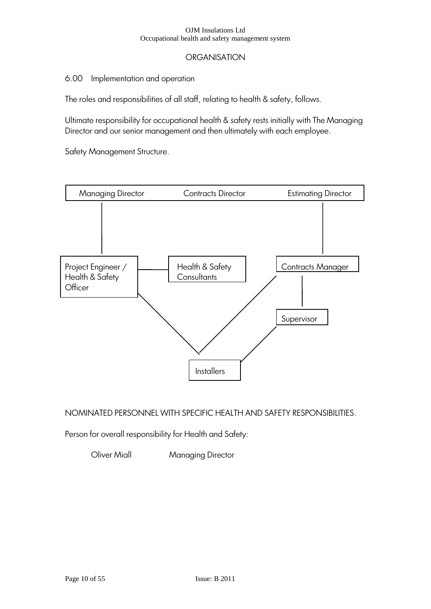# **ORGANISATION**

### 6.00 Implementation and operation

The roles and responsibilities of all staff, relating to health & safety, follows.

Ultimate responsibility for occupational health & safety rests initially with The Managing Director and our senior management and then ultimately with each employee.

Safety Management Structure.



NOMINATED PERSONNEL WITH SPECIFIC HEALTH AND SAFETY RESPONSIBILITIES.

Person for overall responsibility for Health and Safety:

**Oliver Miall Managing Director**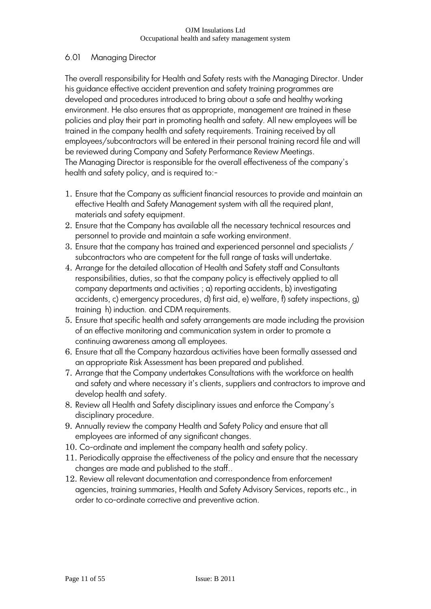# 6.01 Managing Director

The overall responsibility for Health and Safety rests with the Managing Director. Under his guidance effective accident prevention and safety training programmes are developed and procedures introduced to bring about a safe and healthy working environment. He also ensures that as appropriate, management are trained in these policies and play their part in promoting health and safety. All new employees will be trained in the company health and safety requirements. Training received by all employees/subcontractors will be entered in their personal training record file and will be reviewed during Company and Safety Performance Review Meetings. The Managing Director is responsible for the overall effectiveness of the company"s health and safety policy, and is required to:-

- 1. Ensure that the Company as sufficient financial resources to provide and maintain an effective Health and Safety Management system with all the required plant, materials and safety equipment.
- 2. Ensure that the Company has available all the necessary technical resources and personnel to provide and maintain a safe working environment.
- 3. Ensure that the company has trained and experienced personnel and specialists / subcontractors who are competent for the full range of tasks will undertake.
- 4. Arrange for the detailed allocation of Health and Safety staff and Consultants responsibilities, duties, so that the company policy is effectively applied to all company departments and activities ; a) reporting accidents, b) investigating accidents, c) emergency procedures, d) first aid, e) welfare, f) safety inspections, g) training h) induction. and CDM requirements.
- 5. Ensure that specific health and safety arrangements are made including the provision of an effective monitoring and communication system in order to promote a continuing awareness among all employees.
- 6. Ensure that all the Company hazardous activities have been formally assessed and an appropriate Risk Assessment has been prepared and published.
- 7. Arrange that the Company undertakes Consultations with the workforce on health and safety and where necessary it's clients, suppliers and contractors to improve and develop health and safety.
- 8. Review all Health and Safety disciplinary issues and enforce the Company"s disciplinary procedure.
- 9. Annually review the company Health and Safety Policy and ensure that all employees are informed of any significant changes.
- 10. Co-ordinate and implement the company health and safety policy.
- 11. Periodically appraise the effectiveness of the policy and ensure that the necessary changes are made and published to the staff..
- 12. Review all relevant documentation and correspondence from enforcement agencies, training summaries, Health and Safety Advisory Services, reports etc., in order to co-ordinate corrective and preventive action.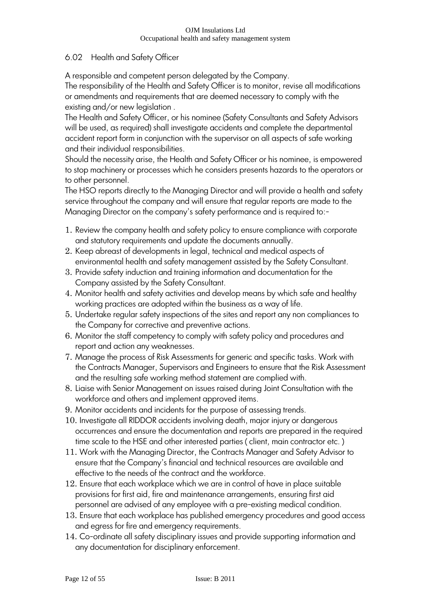# 6.02 Health and Safety Officer

A responsible and competent person delegated by the Company.

The responsibility of the Health and Safety Officer is to monitor, revise all modifications or amendments and requirements that are deemed necessary to comply with the existing and/or new legislation .

The Health and Safety Officer, or his nominee (Safety Consultants and Safety Advisors will be used, as required) shall investigate accidents and complete the departmental accident report form in conjunction with the supervisor on all aspects of safe working and their individual responsibilities.

Should the necessity arise, the Health and Safety Officer or his nominee, is empowered to stop machinery or processes which he considers presents hazards to the operators or to other personnel.

The HSO reports directly to the Managing Director and will provide a health and safety service throughout the company and will ensure that regular reports are made to the Managing Director on the company's safety performance and is required to:-

- 1. Review the company health and safety policy to ensure compliance with corporate and statutory requirements and update the documents annually.
- 2. Keep abreast of developments in legal, technical and medical aspects of environmental health and safety management assisted by the Safety Consultant.
- 3. Provide safety induction and training information and documentation for the Company assisted by the Safety Consultant.
- 4. Monitor health and safety activities and develop means by which safe and healthy working practices are adopted within the business as a way of life.
- 5. Undertake regular safety inspections of the sites and report any non compliances to the Company for corrective and preventive actions.
- 6. Monitor the staff competency to comply with safety policy and procedures and report and action any weaknesses.
- 7. Manage the process of Risk Assessments for generic and specific tasks. Work with the Contracts Manager, Supervisors and Engineers to ensure that the Risk Assessment and the resulting safe working method statement are complied with.
- 8. Liaise with Senior Management on issues raised during Joint Consultation with the workforce and others and implement approved items.
- 9. Monitor accidents and incidents for the purpose of assessing trends.
- 10. Investigate all RIDDOR accidents involving death, major injury or dangerous occurrences and ensure the documentation and reports are prepared in the required time scale to the HSE and other interested parties ( client, main contractor etc. )
- 11. Work with the Managing Director, the Contracts Manager and Safety Advisor to ensure that the Company"s financial and technical resources are available and effective to the needs of the contract and the workforce.
- 12. Ensure that each workplace which we are in control of have in place suitable provisions for first aid, fire and maintenance arrangements, ensuring first aid personnel are advised of any employee with a pre-existing medical condition.
- 13. Ensure that each workplace has published emergency procedures and good access and egress for fire and emergency requirements.
- 14. Co-ordinate all safety disciplinary issues and provide supporting information and any documentation for disciplinary enforcement.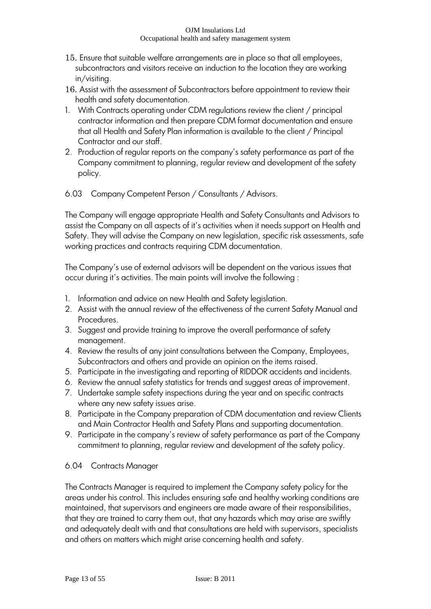- 15. Ensure that suitable welfare arrangements are in place so that all employees, subcontractors and visitors receive an induction to the location they are working in/visiting.
- 16. Assist with the assessment of Subcontractors before appointment to review their health and safety documentation.
- 1. With Contracts operating under CDM regulations review the client / principal contractor information and then prepare CDM format documentation and ensure that all Health and Safety Plan information is available to the client / Principal Contractor and our staff.
- 2. Production of regular reports on the company"s safety performance as part of the Company commitment to planning, regular review and development of the safety policy.
- 6.03 Company Competent Person / Consultants / Advisors.

The Company will engage appropriate Health and Safety Consultants and Advisors to assist the Company on all aspects of it"s activities when it needs support on Health and Safety. They will advise the Company on new legislation, specific risk assessments, safe working practices and contracts requiring CDM documentation.

The Company's use of external advisors will be dependent on the various issues that occur during it"s activities. The main points will involve the following :

- 1. Information and advice on new Health and Safety legislation.
- 2. Assist with the annual review of the effectiveness of the current Safety Manual and Procedures.
- 3. Suggest and provide training to improve the overall performance of safety management.
- 4. Review the results of any joint consultations between the Company, Employees, Subcontractors and others and provide an opinion on the items raised.
- 5. Participate in the investigating and reporting of RIDDOR accidents and incidents.
- 6. Review the annual safety statistics for trends and suggest areas of improvement.
- 7. Undertake sample safety inspections during the year and on specific contracts where any new safety issues arise.
- 8. Participate in the Company preparation of CDM documentation and review Clients and Main Contractor Health and Safety Plans and supporting documentation.
- 9. Participate in the company"s review of safety performance as part of the Company commitment to planning, regular review and development of the safety policy.

# 6.04 Contracts Manager

The Contracts Manager is required to implement the Company safety policy for the areas under his control. This includes ensuring safe and healthy working conditions are maintained, that supervisors and engineers are made aware of their responsibilities, that they are trained to carry them out, that any hazards which may arise are swiftly and adequately dealt with and that consultations are held with supervisors, specialists and others on matters which might arise concerning health and safety.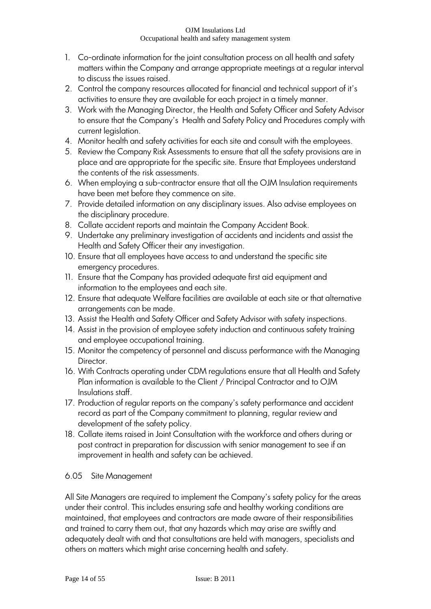- 1. Co-ordinate information for the joint consultation process on all health and safety matters within the Company and arrange appropriate meetings at a regular interval to discuss the issues raised.
- 2. Control the company resources allocated for financial and technical support of it"s activities to ensure they are available for each project in a timely manner.
- 3. Work with the Managing Director, the Health and Safety Officer and Safety Advisor to ensure that the Company"s Health and Safety Policy and Procedures comply with current legislation.
- 4. Monitor health and safety activities for each site and consult with the employees.
- 5. Review the Company Risk Assessments to ensure that all the safety provisions are in place and are appropriate for the specific site. Ensure that Employees understand the contents of the risk assessments.
- 6. When employing a sub-contractor ensure that all the OJM Insulation requirements have been met before they commence on site.
- 7. Provide detailed information on any disciplinary issues. Also advise employees on the disciplinary procedure.
- 8. Collate accident reports and maintain the Company Accident Book.
- 9. Undertake any preliminary investigation of accidents and incidents and assist the Health and Safety Officer their any investigation.
- 10. Ensure that all employees have access to and understand the specific site emergency procedures.
- 11. Ensure that the Company has provided adequate first aid equipment and information to the employees and each site.
- 12. Ensure that adequate Welfare facilities are available at each site or that alternative arrangements can be made.
- 13. Assist the Health and Safety Officer and Safety Advisor with safety inspections.
- 14. Assist in the provision of employee safety induction and continuous safety training and employee occupational training.
- 15. Monitor the competency of personnel and discuss performance with the Managing Director.
- 16. With Contracts operating under CDM regulations ensure that all Health and Safety Plan information is available to the Client / Principal Contractor and to OJM Insulations staff.
- 17. Production of regular reports on the company's safety performance and accident record as part of the Company commitment to planning, regular review and development of the safety policy.
- 18. Collate items raised in Joint Consultation with the workforce and others during or post contract in preparation for discussion with senior management to see if an improvement in health and safety can be achieved.

# 6.05 Site Management

All Site Managers are required to implement the Company"s safety policy for the areas under their control. This includes ensuring safe and healthy working conditions are maintained, that employees and contractors are made aware of their responsibilities and trained to carry them out, that any hazards which may arise are swiftly and adequately dealt with and that consultations are held with managers, specialists and others on matters which might arise concerning health and safety.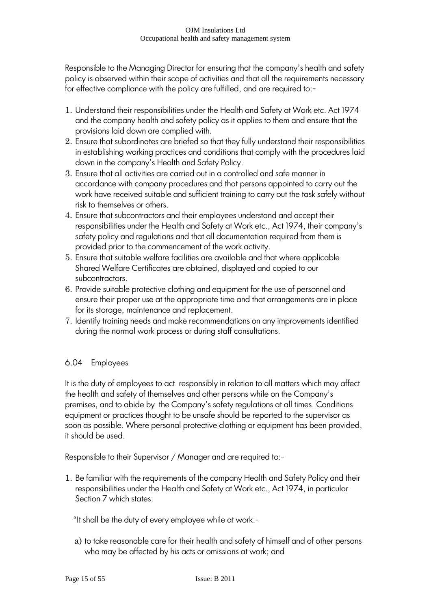Responsible to the Managing Director for ensuring that the company"s health and safety policy is observed within their scope of activities and that all the requirements necessary for effective compliance with the policy are fulfilled, and are required to:-

- 1. Understand their responsibilities under the Health and Safety at Work etc. Act 1974 and the company health and safety policy as it applies to them and ensure that the provisions laid down are complied with.
- 2. Ensure that subordinates are briefed so that they fully understand their responsibilities in establishing working practices and conditions that comply with the procedures laid down in the company"s Health and Safety Policy.
- 3. Ensure that all activities are carried out in a controlled and safe manner in accordance with company procedures and that persons appointed to carry out the work have received suitable and sufficient training to carry out the task safely without risk to themselves or others.
- 4. Ensure that subcontractors and their employees understand and accept their responsibilities under the Health and Safety at Work etc., Act 1974, their company"s safety policy and regulations and that all documentation required from them is provided prior to the commencement of the work activity.
- 5. Ensure that suitable welfare facilities are available and that where applicable Shared Welfare Certificates are obtained, displayed and copied to our subcontractors.
- 6. Provide suitable protective clothing and equipment for the use of personnel and ensure their proper use at the appropriate time and that arrangements are in place for its storage, maintenance and replacement.
- 7. Identify training needs and make recommendations on any improvements identified during the normal work process or during staff consultations.

# 6.04 Employees

It is the duty of employees to act responsibly in relation to all matters which may affect the health and safety of themselves and other persons while on the Company"s premises, and to abide by the Company"s safety regulations at all times. Conditions equipment or practices thought to be unsafe should be reported to the supervisor as soon as possible. Where personal protective clothing or equipment has been provided, it should be used.

Responsible to their Supervisor / Manager and are required to:-

1. Be familiar with the requirements of the company Health and Safety Policy and their responsibilities under the Health and Safety at Work etc., Act 1974, in particular Section 7 which states:

"It shall be the duty of every employee while at work:-

a) to take reasonable care for their health and safety of himself and of other persons who may be affected by his acts or omissions at work; and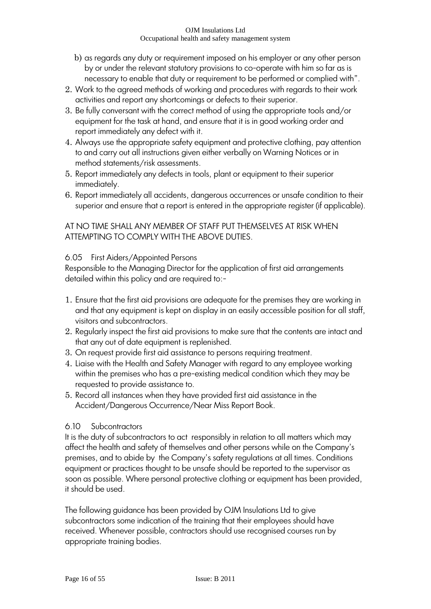- b) as regards any duty or requirement imposed on his employer or any other person by or under the relevant statutory provisions to co-operate with him so far as is necessary to enable that duty or requirement to be performed or complied with".
- 2. Work to the agreed methods of working and procedures with regards to their work activities and report any shortcomings or defects to their superior.
- 3. Be fully conversant with the correct method of using the appropriate tools and/or equipment for the task at hand, and ensure that it is in good working order and report immediately any defect with it.
- 4. Always use the appropriate safety equipment and protective clothing, pay attention to and carry out all instructions given either verbally on Warning Notices or in method statements/risk assessments.
- 5. Report immediately any defects in tools, plant or equipment to their superior immediately.
- 6. Report immediately all accidents, dangerous occurrences or unsafe condition to their superior and ensure that a report is entered in the appropriate register (if applicable).

# AT NO TIME SHALL ANY MEMBER OF STAFF PUT THEMSELVES AT RISK WHEN ATTEMPTING TO COMPLY WITH THE ABOVE DUTIES.

# 6.05 First Aiders/Appointed Persons

Responsible to the Managing Director for the application of first aid arrangements detailed within this policy and are required to:-

- 1. Ensure that the first aid provisions are adequate for the premises they are working in and that any equipment is kept on display in an easily accessible position for all staff, visitors and subcontractors.
- 2. Regularly inspect the first aid provisions to make sure that the contents are intact and that any out of date equipment is replenished.
- 3. On request provide first aid assistance to persons requiring treatment.
- 4. Liaise with the Health and Safety Manager with regard to any employee working within the premises who has a pre-existing medical condition which they may be requested to provide assistance to.
- 5. Record all instances when they have provided first aid assistance in the Accident/Dangerous Occurrence/Near Miss Report Book.

# 6.10 Subcontractors

It is the duty of subcontractors to act responsibly in relation to all matters which may affect the health and safety of themselves and other persons while on the Company"s premises, and to abide by the Company"s safety regulations at all times. Conditions equipment or practices thought to be unsafe should be reported to the supervisor as soon as possible. Where personal protective clothing or equipment has been provided, it should be used.

The following guidance has been provided by OJM Insulations Ltd to give subcontractors some indication of the training that their employees should have received. Whenever possible, contractors should use recognised courses run by appropriate training bodies.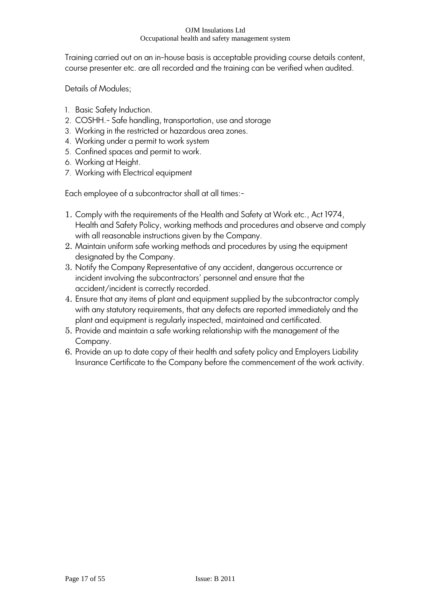Training carried out on an in-house basis is acceptable providing course details content, course presenter etc. are all recorded and the training can be verified when audited.

Details of Modules;

- 1. Basic Safety Induction.
- 2. COSHH.- Safe handling, transportation, use and storage
- 3. Working in the restricted or hazardous area zones.
- 4. Working under a permit to work system
- 5. Confined spaces and permit to work.
- 6. Working at Height.
- 7. Working with Electrical equipment

Each employee of a subcontractor shall at all times:-

- 1. Comply with the requirements of the Health and Safety at Work etc., Act 1974, Health and Safety Policy, working methods and procedures and observe and comply with all reasonable instructions given by the Company.
- 2. Maintain uniform safe working methods and procedures by using the equipment designated by the Company.
- 3. Notify the Company Representative of any accident, dangerous occurrence or incident involving the subcontractors' personnel and ensure that the accident/incident is correctly recorded.
- 4. Ensure that any items of plant and equipment supplied by the subcontractor comply with any statutory requirements, that any defects are reported immediately and the plant and equipment is regularly inspected, maintained and certificated.
- 5. Provide and maintain a safe working relationship with the management of the Company.
- 6. Provide an up to date copy of their health and safety policy and Employers Liability Insurance Certificate to the Company before the commencement of the work activity.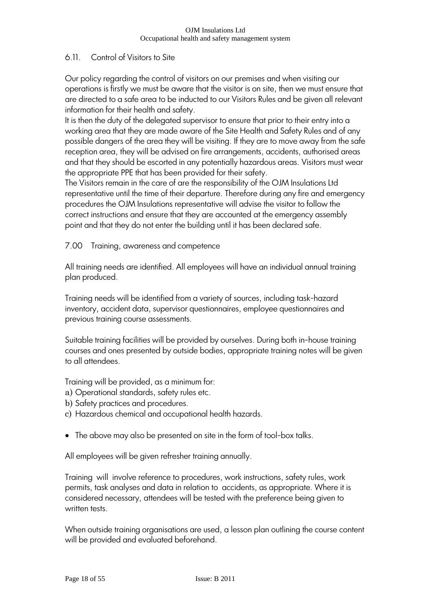# 6.11. Control of Visitors to Site

Our policy regarding the control of visitors on our premises and when visiting our operations is firstly we must be aware that the visitor is on site, then we must ensure that are directed to a safe area to be inducted to our Visitors Rules and be given all relevant information for their health and safety.

It is then the duty of the delegated supervisor to ensure that prior to their entry into a working area that they are made aware of the Site Health and Safety Rules and of any possible dangers of the area they will be visiting. If they are to move away from the safe reception area, they will be advised on fire arrangements, accidents, authorised areas and that they should be escorted in any potentially hazardous areas. Visitors must wear the appropriate PPE that has been provided for their safety.

The Visitors remain in the care of are the responsibility of the OJM Insulations Ltd representative until the time of their departure. Therefore during any fire and emergency procedures the OJM Insulations representative will advise the visitor to follow the correct instructions and ensure that they are accounted at the emergency assembly point and that they do not enter the building until it has been declared safe.

# 7.00 Training, awareness and competence

All training needs are identified. All employees will have an individual annual training plan produced.

Training needs will be identified from a variety of sources, including task-hazard inventory, accident data, supervisor questionnaires, employee questionnaires and previous training course assessments.

Suitable training facilities will be provided by ourselves. During both in-house training courses and ones presented by outside bodies, appropriate training notes will be given to all attendees.

Training will be provided, as a minimum for:

- a) Operational standards, safety rules etc.
- b) Safety practices and procedures.
- c) Hazardous chemical and occupational health hazards.
- The above may also be presented on site in the form of tool-box talks.

All employees will be given refresher training annually.

Training will involve reference to procedures, work instructions, safety rules, work permits, task analyses and data in relation to accidents, as appropriate. Where it is considered necessary, attendees will be tested with the preference being given to written tests.

When outside training organisations are used, a lesson plan outlining the course content will be provided and evaluated beforehand.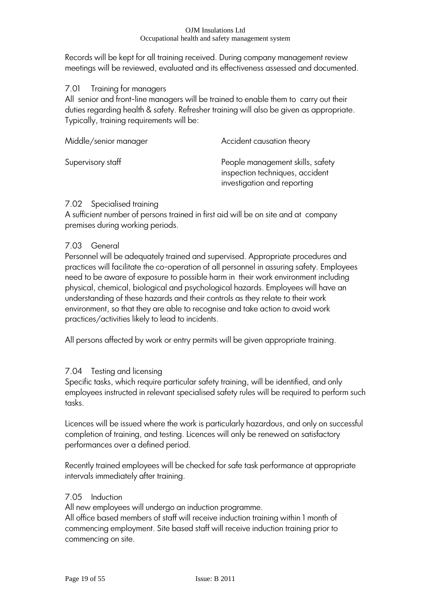Records will be kept for all training received. During company management review meetings will be reviewed, evaluated and its effectiveness assessed and documented.

# 7.01 Training for managers

All senior and front-line managers will be trained to enable them to carry out their duties regarding health & safety. Refresher training will also be given as appropriate. Typically, training requirements will be:

| Middle/senior manager | Accident causation theory                                                                          |
|-----------------------|----------------------------------------------------------------------------------------------------|
| Supervisory staff     | People management skills, safety<br>inspection techniques, accident<br>investigation and reporting |

# 7.02 Specialised training

A sufficient number of persons trained in first aid will be on site and at company premises during working periods.

# 7.03 General

Personnel will be adequately trained and supervised. Appropriate procedures and practices will facilitate the co-operation of all personnel in assuring safety. Employees need to be aware of exposure to possible harm in their work environment including physical, chemical, biological and psychological hazards. Employees will have an understanding of these hazards and their controls as they relate to their work environment, so that they are able to recognise and take action to avoid work practices/activities likely to lead to incidents.

All persons affected by work or entry permits will be given appropriate training.

# 7.04 Testing and licensing

Specific tasks, which require particular safety training, will be identified, and only employees instructed in relevant specialised safety rules will be required to perform such tasks.

Licences will be issued where the work is particularly hazardous, and only on successful completion of training, and testing. Licences will only be renewed on satisfactory performances over a defined period.

Recently trained employees will be checked for safe task performance at appropriate intervals immediately after training.

# 7.05 Induction

All new employees will undergo an induction programme.

All office based members of staff will receive induction training within 1 month of commencing employment. Site based staff will receive induction training prior to commencing on site.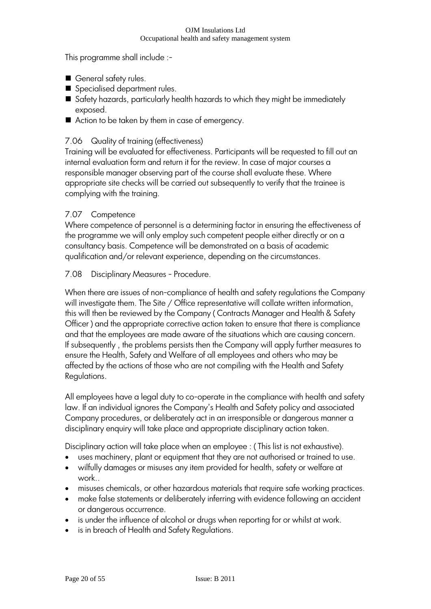This programme shall include :-

- General safety rules.
- Specialised department rules.
- Safety hazards, particularly health hazards to which they might be immediately exposed.
- Action to be taken by them in case of emergency.

# 7.06 Quality of training (effectiveness)

Training will be evaluated for effectiveness. Participants will be requested to fill out an internal evaluation form and return it for the review. In case of major courses a responsible manager observing part of the course shall evaluate these. Where appropriate site checks will be carried out subsequently to verify that the trainee is complying with the training.

# 7.07 Competence

Where competence of personnel is a determining factor in ensuring the effectiveness of the programme we will only employ such competent people either directly or on a consultancy basis. Competence will be demonstrated on a basis of academic qualification and/or relevant experience, depending on the circumstances.

# 7.08 Disciplinary Measures - Procedure.

When there are issues of non-compliance of health and safety regulations the Company will investigate them. The Site / Office representative will collate written information, this will then be reviewed by the Company ( Contracts Manager and Health & Safety Officer ) and the appropriate corrective action taken to ensure that there is compliance and that the employees are made aware of the situations which are causing concern. If subsequently , the problems persists then the Company will apply further measures to ensure the Health, Safety and Welfare of all employees and others who may be affected by the actions of those who are not compiling with the Health and Safety Regulations.

All employees have a legal duty to co-operate in the compliance with health and safety law. If an individual ignores the Company's Health and Safety policy and associated Company procedures, or deliberately act in an irresponsible or dangerous manner a disciplinary enquiry will take place and appropriate disciplinary action taken.

Disciplinary action will take place when an employee : ( This list is not exhaustive).

- uses machinery, plant or equipment that they are not authorised or trained to use.
- wilfully damages or misuses any item provided for health, safety or welfare at work..
- misuses chemicals, or other hazardous materials that require safe working practices.
- make false statements or deliberately inferring with evidence following an accident or dangerous occurrence.
- is under the influence of alcohol or drugs when reporting for or whilst at work.
- is in breach of Health and Safety Regulations.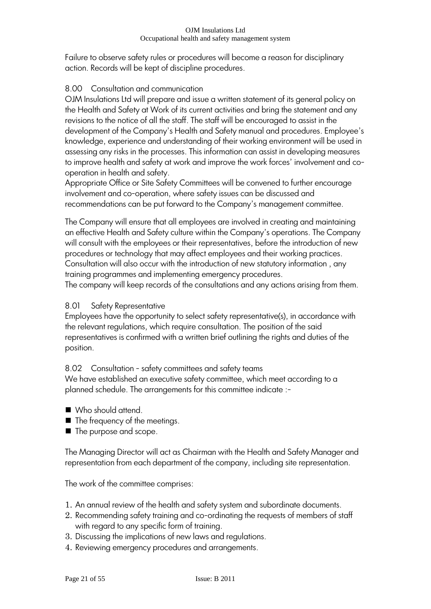Failure to observe safety rules or procedures will become a reason for disciplinary action. Records will be kept of discipline procedures.

# 8.00 Consultation and communication

OJM Insulations Ltd will prepare and issue a written statement of its general policy on the Health and Safety at Work of its current activities and bring the statement and any revisions to the notice of all the staff. The staff will be encouraged to assist in the development of the Company's Health and Safety manual and procedures. Employee's knowledge, experience and understanding of their working environment will be used in assessing any risks in the processes. This information can assist in developing measures to improve health and safety at work and improve the work forces' involvement and cooperation in health and safety.

Appropriate Office or Site Safety Committees will be convened to further encourage involvement and co-operation, where safety issues can be discussed and recommendations can be put forward to the Company's management committee.

The Company will ensure that all employees are involved in creating and maintaining an effective Health and Safety culture within the Company"s operations. The Company will consult with the employees or their representatives, before the introduction of new procedures or technology that may affect employees and their working practices. Consultation will also occur with the introduction of new statutory information , any training programmes and implementing emergency procedures.

The company will keep records of the consultations and any actions arising from them.

# 8.01 Safety Representative

Employees have the opportunity to select safety representative(s), in accordance with the relevant regulations, which require consultation. The position of the said representatives is confirmed with a written brief outlining the rights and duties of the position.

# 8.02 Consultation - safety committees and safety teams

We have established an executive safety committee, which meet according to a planned schedule. The arrangements for this committee indicate :-

- Who should attend.
- The frequency of the meetings.
- The purpose and scope.

The Managing Director will act as Chairman with the Health and Safety Manager and representation from each department of the company, including site representation.

The work of the committee comprises:

- 1. An annual review of the health and safety system and subordinate documents.
- 2. Recommending safety training and co-ordinating the requests of members of staff with regard to any specific form of training.
- 3. Discussing the implications of new laws and regulations.
- 4. Reviewing emergency procedures and arrangements.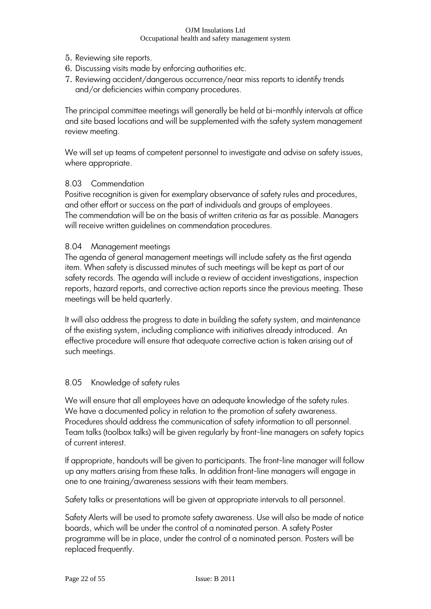- 5. Reviewing site reports.
- 6. Discussing visits made by enforcing authorities etc.
- 7. Reviewing accident/dangerous occurrence/near miss reports to identify trends and/or deficiencies within company procedures.

The principal committee meetings will generally be held at bi-monthly intervals at office and site based locations and will be supplemented with the safety system management review meeting.

We will set up teams of competent personnel to investigate and advise on safety issues, where appropriate.

### 8.03 Commendation

Positive recognition is given for exemplary observance of safety rules and procedures, and other effort or success on the part of individuals and groups of employees. The commendation will be on the basis of written criteria as far as possible. Managers will receive written guidelines on commendation procedures.

### 8.04 Management meetings

The agenda of general management meetings will include safety as the first agenda item. When safety is discussed minutes of such meetings will be kept as part of our safety records. The agenda will include a review of accident investigations, inspection reports, hazard reports, and corrective action reports since the previous meeting. These meetings will be held quarterly.

It will also address the progress to date in building the safety system, and maintenance of the existing system, including compliance with initiatives already introduced. An effective procedure will ensure that adequate corrective action is taken arising out of such meetings.

# 8.05 Knowledge of safety rules

We will ensure that all employees have an adequate knowledge of the safety rules. We have a documented policy in relation to the promotion of safety awareness. Procedures should address the communication of safety information to all personnel. Team talks (toolbox talks) will be given regularly by front-line managers on safety topics of current interest.

If appropriate, handouts will be given to participants. The front-line manager will follow up any matters arising from these talks. In addition front-line managers will engage in one to one training/awareness sessions with their team members.

Safety talks or presentations will be given at appropriate intervals to all personnel.

Safety Alerts will be used to promote safety awareness. Use will also be made of notice boards, which will be under the control of a nominated person. A safety Poster programme will be in place, under the control of a nominated person. Posters will be replaced frequently.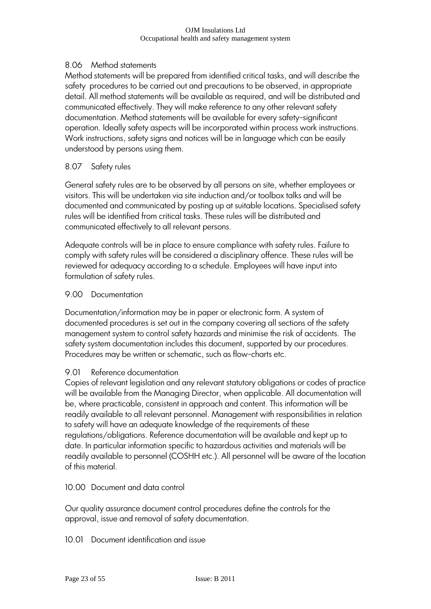# 8.06 Method statements

Method statements will be prepared from identified critical tasks, and will describe the safety procedures to be carried out and precautions to be observed, in appropriate detail. All method statements will be available as required, and will be distributed and communicated effectively. They will make reference to any other relevant safety documentation. Method statements will be available for every safety-significant operation. Ideally safety aspects will be incorporated within process work instructions. Work instructions, safety signs and notices will be in language which can be easily understood by persons using them.

### 8.07 Safety rules

General safety rules are to be observed by all persons on site, whether employees or visitors. This will be undertaken via site induction and/or toolbox talks and will be documented and communicated by posting up at suitable locations. Specialised safety rules will be identified from critical tasks. These rules will be distributed and communicated effectively to all relevant persons.

Adequate controls will be in place to ensure compliance with safety rules. Failure to comply with safety rules will be considered a disciplinary offence. These rules will be reviewed for adequacy according to a schedule. Employees will have input into formulation of safety rules.

### 9.00 Documentation

Documentation/information may be in paper or electronic form. A system of documented procedures is set out in the company covering all sections of the safety management system to control safety hazards and minimise the risk of accidents. The safety system documentation includes this document, supported by our procedures. Procedures may be written or schematic, such as flow-charts etc.

### 9.01 Reference documentation

Copies of relevant legislation and any relevant statutory obligations or codes of practice will be available from the Managing Director, when applicable. All documentation will be, where practicable, consistent in approach and content. This information will be readily available to all relevant personnel. Management with responsibilities in relation to safety will have an adequate knowledge of the requirements of these regulations/obligations. Reference documentation will be available and kept up to date. In particular information specific to hazardous activities and materials will be readily available to personnel (COSHH etc.). All personnel will be aware of the location of this material.

10.00 Document and data control

Our quality assurance document control procedures define the controls for the approval, issue and removal of safety documentation.

10.01 Document identification and issue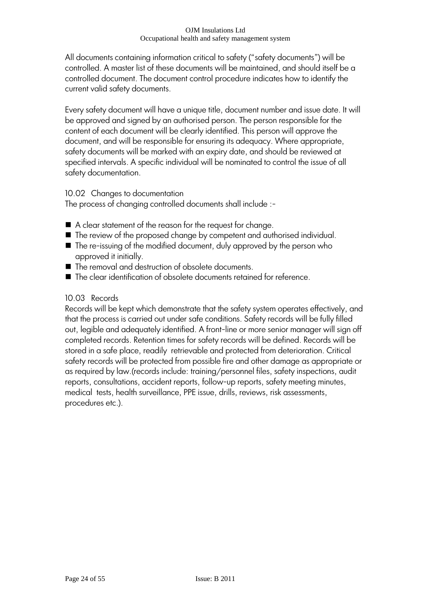All documents containing information critical to safety ("safety documents") will be controlled. A master list of these documents will be maintained, and should itself be a controlled document. The document control procedure indicates how to identify the current valid safety documents.

Every safety document will have a unique title, document number and issue date. It will be approved and signed by an authorised person. The person responsible for the content of each document will be clearly identified. This person will approve the document, and will be responsible for ensuring its adequacy. Where appropriate, safety documents will be marked with an expiry date, and should be reviewed at specified intervals. A specific individual will be nominated to control the issue of all safety documentation.

### 10.02 Changes to documentation

The process of changing controlled documents shall include :-

- A clear statement of the reason for the request for change.
- The review of the proposed change by competent and authorised individual.
- The re-issuing of the modified document, duly approved by the person who approved it initially.
- The removal and destruction of obsolete documents.
- The clear identification of obsolete documents retained for reference.

# 10.03 Records

Records will be kept which demonstrate that the safety system operates effectively, and that the process is carried out under safe conditions. Safety records will be fully filled out, legible and adequately identified. A front-line or more senior manager will sign off completed records. Retention times for safety records will be defined. Records will be stored in a safe place, readily retrievable and protected from deterioration. Critical safety records will be protected from possible fire and other damage as appropriate or as required by law.(records include: training/personnel files, safety inspections, audit reports, consultations, accident reports, follow-up reports, safety meeting minutes, medical tests, health surveillance, PPE issue, drills, reviews, risk assessments, procedures etc.).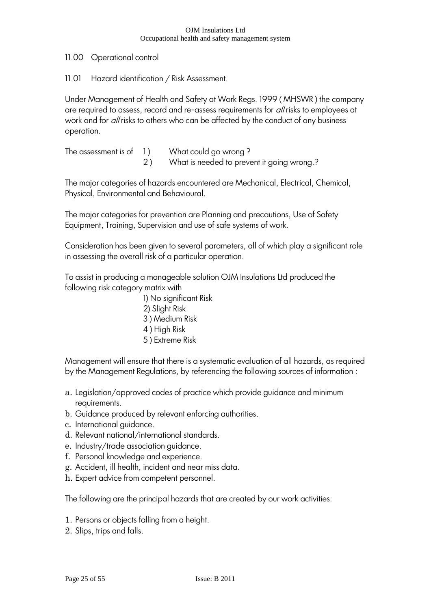11.00 Operational control

11.01 Hazard identification / Risk Assessment.

Under Management of Health and Safety at Work Regs. 1999 ( MHSWR ) the company are required to assess, record and re-assess requirements for all risks to employees at work and for *all* risks to others who can be affected by the conduct of any business operation.

The assessment is of  $1$  ) What could go wrong? 2 ) What is needed to prevent it going wrong.?

The major categories of hazards encountered are Mechanical, Electrical, Chemical, Physical, Environmental and Behavioural.

The major categories for prevention are Planning and precautions, Use of Safety Equipment, Training, Supervision and use of safe systems of work.

Consideration has been given to several parameters, all of which play a significant role in assessing the overall risk of a particular operation.

To assist in producing a manageable solution OJM Insulations Ltd produced the following risk category matrix with

> 1) No significant Risk 2) Slight Risk 3 ) Medium Risk 4 ) High Risk 5 ) Extreme Risk

Management will ensure that there is a systematic evaluation of all hazards, as required by the Management Regulations, by referencing the following sources of information :

- a. Legislation/approved codes of practice which provide guidance and minimum requirements.
- b. Guidance produced by relevant enforcing authorities.
- c. International guidance.
- d. Relevant national/international standards.
- e. Industry/trade association guidance.
- f. Personal knowledge and experience.
- g. Accident, ill health, incident and near miss data.
- h. Expert advice from competent personnel.

The following are the principal hazards that are created by our work activities:

- 1. Persons or objects falling from a height.
- 2. Slips, trips and falls.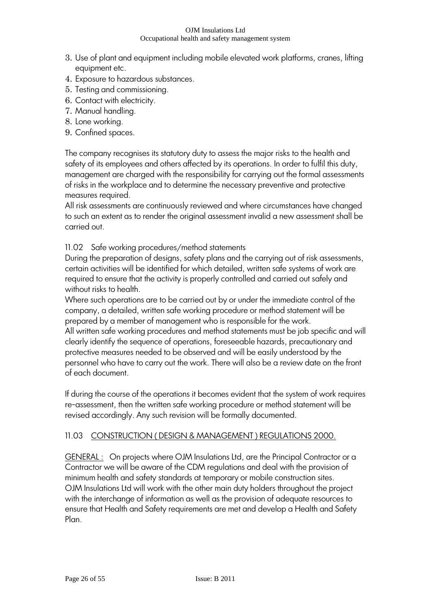- 3. Use of plant and equipment including mobile elevated work platforms, cranes, lifting equipment etc.
- 4. Exposure to hazardous substances.
- 5. Testing and commissioning.
- 6. Contact with electricity.
- 7. Manual handling.
- 8. Lone working.
- 9. Confined spaces.

The company recognises its statutory duty to assess the major risks to the health and safety of its employees and others affected by its operations. In order to fulfil this duty, management are charged with the responsibility for carrying out the formal assessments of risks in the workplace and to determine the necessary preventive and protective measures required.

All risk assessments are continuously reviewed and where circumstances have changed to such an extent as to render the original assessment invalid a new assessment shall be carried out.

# 11.02 Safe working procedures/method statements

During the preparation of designs, safety plans and the carrying out of risk assessments, certain activities will be identified for which detailed, written safe systems of work are required to ensure that the activity is properly controlled and carried out safely and without risks to health.

Where such operations are to be carried out by or under the immediate control of the company, a detailed, written safe working procedure or method statement will be prepared by a member of management who is responsible for the work. All written safe working procedures and method statements must be job specific and will clearly identify the sequence of operations, foreseeable hazards, precautionary and

protective measures needed to be observed and will be easily understood by the personnel who have to carry out the work. There will also be a review date on the front of each document.

If during the course of the operations it becomes evident that the system of work requires re-assessment, then the written safe working procedure or method statement will be revised accordingly. Any such revision will be formally documented.

# 11.03 CONSTRUCTION ( DESIGN & MANAGEMENT ) REGULATIONS 2000.

GENERAL : On projects where OJM Insulations Ltd, are the Principal Contractor or a Contractor we will be aware of the CDM regulations and deal with the provision of minimum health and safety standards at temporary or mobile construction sites. OJM Insulations Ltd will work with the other main duty holders throughout the project with the interchange of information as well as the provision of adequate resources to ensure that Health and Safety requirements are met and develop a Health and Safety Plan.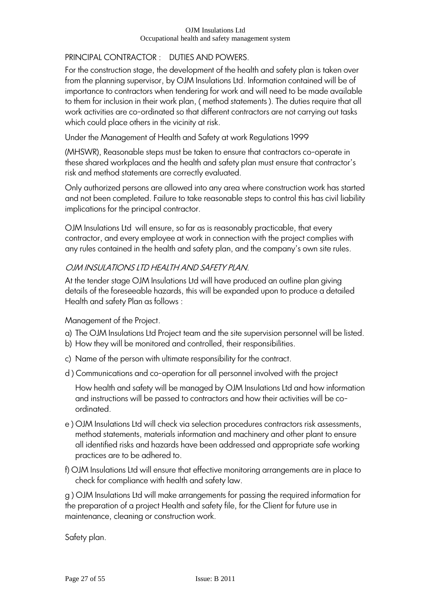# PRINCIPAL CONTRACTOR : DUTIES AND POWERS.

For the construction stage, the development of the health and safety plan is taken over from the planning supervisor, by OJM Insulations Ltd. Information contained will be of importance to contractors when tendering for work and will need to be made available to them for inclusion in their work plan, ( method statements ). The duties require that all work activities are co-ordinated so that different contractors are not carrying out tasks which could place others in the vicinity at risk.

Under the Management of Health and Safety at work Regulations 1999

(MHSWR), Reasonable steps must be taken to ensure that contractors co-operate in these shared workplaces and the health and safety plan must ensure that contractor's risk and method statements are correctly evaluated.

Only authorized persons are allowed into any area where construction work has started and not been completed. Failure to take reasonable steps to control this has civil liability implications for the principal contractor.

OJM Insulations Ltd will ensure, so far as is reasonably practicable, that every contractor, and every employee at work in connection with the project complies with any rules contained in the health and safety plan, and the company's own site rules.

# OJM INSULATIONS LTD HEALTH AND SAFETY PLAN.

At the tender stage OJM Insulations Ltd will have produced an outline plan giving details of the foreseeable hazards, this will be expanded upon to produce a detailed Health and safety Plan as follows :

Management of the Project.

- a) The OJM Insulations Ltd Project team and the site supervision personnel will be listed.
- b) How they will be monitored and controlled, their responsibilities.
- c) Name of the person with ultimate responsibility for the contract.
- d ) Communications and co-operation for all personnel involved with the project

How health and safety will be managed by OJM Insulations Ltd and how information and instructions will be passed to contractors and how their activities will be coordinated.

- e ) OJM Insulations Ltd will check via selection procedures contractors risk assessments, method statements, materials information and machinery and other plant to ensure all identified risks and hazards have been addressed and appropriate safe working practices are to be adhered to.
- f) OJM Insulations Ltd will ensure that effective monitoring arrangements are in place to check for compliance with health and safety law.

g ) OJM Insulations Ltd will make arrangements for passing the required information for the preparation of a project Health and safety file, for the Client for future use in maintenance, cleaning or construction work.

Safety plan.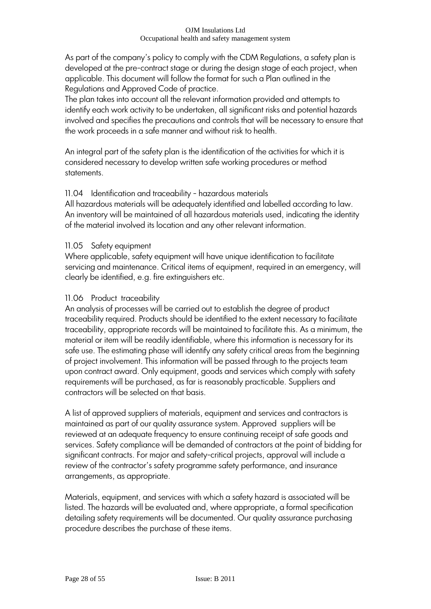As part of the company's policy to comply with the CDM Regulations, a safety plan is developed at the pre-contract stage or during the design stage of each project, when applicable. This document will follow the format for such a Plan outlined in the Regulations and Approved Code of practice.

The plan takes into account all the relevant information provided and attempts to identify each work activity to be undertaken, all significant risks and potential hazards involved and specifies the precautions and controls that will be necessary to ensure that the work proceeds in a safe manner and without risk to health.

An integral part of the safety plan is the identification of the activities for which it is considered necessary to develop written safe working procedures or method statements.

# 11.04 Identification and traceability - hazardous materials

All hazardous materials will be adequately identified and labelled according to law. An inventory will be maintained of all hazardous materials used, indicating the identity of the material involved its location and any other relevant information.

### 11.05 Safety equipment

Where applicable, safety equipment will have unique identification to facilitate servicing and maintenance. Critical items of equipment, required in an emergency, will clearly be identified, e.g. fire extinguishers etc.

### 11.06 Product traceability

An analysis of processes will be carried out to establish the degree of product traceability required. Products should be identified to the extent necessary to facilitate traceability, appropriate records will be maintained to facilitate this. As a minimum, the material or item will be readily identifiable, where this information is necessary for its safe use. The estimating phase will identify any safety critical areas from the beginning of project involvement. This information will be passed through to the projects team upon contract award. Only equipment, goods and services which comply with safety requirements will be purchased, as far is reasonably practicable. Suppliers and contractors will be selected on that basis.

A list of approved suppliers of materials, equipment and services and contractors is maintained as part of our quality assurance system. Approved suppliers will be reviewed at an adequate frequency to ensure continuing receipt of safe goods and services. Safety compliance will be demanded of contractors at the point of bidding for significant contracts. For major and safety-critical projects, approval will include a review of the contractor's safety programme safety performance, and insurance arrangements, as appropriate.

Materials, equipment, and services with which a safety hazard is associated will be listed. The hazards will be evaluated and, where appropriate, a formal specification detailing safety requirements will be documented. Our quality assurance purchasing procedure describes the purchase of these items.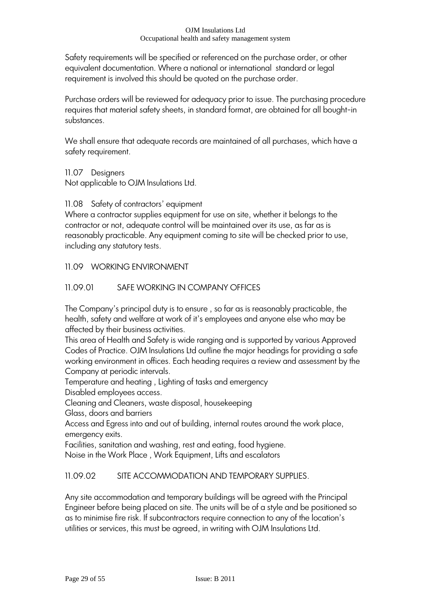Safety requirements will be specified or referenced on the purchase order, or other equivalent documentation. Where a national or international standard or legal requirement is involved this should be quoted on the purchase order.

Purchase orders will be reviewed for adequacy prior to issue. The purchasing procedure requires that material safety sheets, in standard format, are obtained for all bought-in substances.

We shall ensure that adequate records are maintained of all purchases, which have a safety requirement.

11.07 Designers

Not applicable to OJM Insulations Ltd.

11.08 Safety of contractors' equipment

Where a contractor supplies equipment for use on site, whether it belongs to the contractor or not, adequate control will be maintained over its use, as far as is reasonably practicable. Any equipment coming to site will be checked prior to use, including any statutory tests.

# 11.09 WORKING ENVIRONMENT

# 11.09.01 SAFE WORKING IN COMPANY OFFICES

The Company's principal duty is to ensure, so far as is reasonably practicable, the health, safety and welfare at work of it"s employees and anyone else who may be affected by their business activities.

This area of Health and Safety is wide ranging and is supported by various Approved Codes of Practice. OJM Insulations Ltd outline the major headings for providing a safe working environment in offices. Each heading requires a review and assessment by the Company at periodic intervals.

Temperature and heating , Lighting of tasks and emergency

Disabled employees access.

Cleaning and Cleaners, waste disposal, housekeeping

Glass, doors and barriers

Access and Egress into and out of building, internal routes around the work place, emergency exits.

Facilities, sanitation and washing, rest and eating, food hygiene.

Noise in the Work Place , Work Equipment, Lifts and escalators

# 11.09.02 SITE ACCOMMODATION AND TEMPORARY SUPPLIES.

Any site accommodation and temporary buildings will be agreed with the Principal Engineer before being placed on site. The units will be of a style and be positioned so as to minimise fire risk. If subcontractors require connection to any of the location"s utilities or services, this must be agreed, in writing with OJM Insulations Ltd.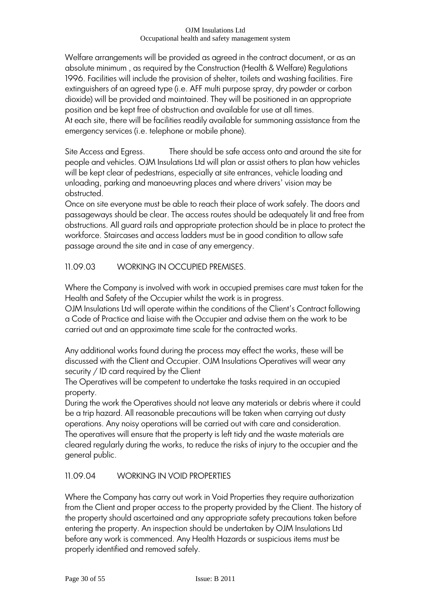Welfare arrangements will be provided as agreed in the contract document, or as an absolute minimum , as required by the Construction (Health & Welfare) Regulations 1996. Facilities will include the provision of shelter, toilets and washing facilities. Fire extinguishers of an agreed type (i.e. AFF multi purpose spray, dry powder or carbon dioxide) will be provided and maintained. They will be positioned in an appropriate position and be kept free of obstruction and available for use at all times. At each site, there will be facilities readily available for summoning assistance from the emergency services (i.e. telephone or mobile phone).

Site Access and Egress. There should be safe access onto and around the site for people and vehicles. OJM Insulations Ltd will plan or assist others to plan how vehicles will be kept clear of pedestrians, especially at site entrances, vehicle loading and unloading, parking and manoeuvring places and where drivers' vision may be obstructed.

Once on site everyone must be able to reach their place of work safely. The doors and passageways should be clear. The access routes should be adequately lit and free from obstructions. All guard rails and appropriate protection should be in place to protect the workforce. Staircases and access ladders must be in good condition to allow safe passage around the site and in case of any emergency.

11.09.03 WORKING IN OCCUPIED PREMISES.

Where the Company is involved with work in occupied premises care must taken for the Health and Safety of the Occupier whilst the work is in progress.

OJM Insulations Ltd will operate within the conditions of the Client"s Contract following a Code of Practice and liaise with the Occupier and advise them on the work to be carried out and an approximate time scale for the contracted works.

Any additional works found during the process may effect the works, these will be discussed with the Client and Occupier. OJM Insulations Operatives will wear any security / ID card required by the Client

The Operatives will be competent to undertake the tasks required in an occupied property.

During the work the Operatives should not leave any materials or debris where it could be a trip hazard. All reasonable precautions will be taken when carrying out dusty operations. Any noisy operations will be carried out with care and consideration. The operatives will ensure that the property is left tidy and the waste materials are cleared regularly during the works, to reduce the risks of injury to the occupier and the general public.

# 11.09.04 WORKING IN VOID PROPERTIES

Where the Company has carry out work in Void Properties they require authorization from the Client and proper access to the property provided by the Client. The history of the property should ascertained and any appropriate safety precautions taken before entering the property. An inspection should be undertaken by OJM Insulations Ltd before any work is commenced. Any Health Hazards or suspicious items must be properly identified and removed safely.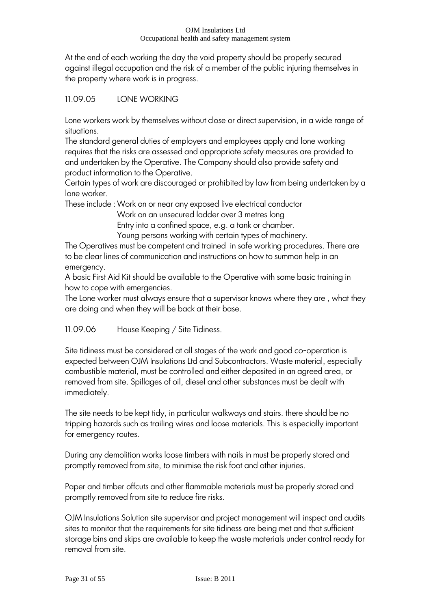At the end of each working the day the void property should be properly secured against illegal occupation and the risk of a member of the public injuring themselves in the property where work is in progress.

# 11.09.05 LONE WORKING

Lone workers work by themselves without close or direct supervision, in a wide range of situations.

The standard general duties of employers and employees apply and lone working requires that the risks are assessed and appropriate safety measures are provided to and undertaken by the Operative. The Company should also provide safety and product information to the Operative.

Certain types of work are discouraged or prohibited by law from being undertaken by a lone worker.

These include :Work on or near any exposed live electrical conductor

Work on an unsecured ladder over 3 metres long

Entry into a confined space, e.g. a tank or chamber.

Young persons working with certain types of machinery.

The Operatives must be competent and trained in safe working procedures. There are to be clear lines of communication and instructions on how to summon help in an emergency.

A basic First Aid Kit should be available to the Operative with some basic training in how to cope with emergencies.

The Lone worker must always ensure that a supervisor knows where they are , what they are doing and when they will be back at their base.

11.09.06 House Keeping / Site Tidiness.

Site tidiness must be considered at all stages of the work and good co-operation is expected between OJM Insulations Ltd and Subcontractors. Waste material, especially combustible material, must be controlled and either deposited in an agreed area, or removed from site. Spillages of oil, diesel and other substances must be dealt with immediately.

The site needs to be kept tidy, in particular walkways and stairs. there should be no tripping hazards such as trailing wires and loose materials. This is especially important for emergency routes.

During any demolition works loose timbers with nails in must be properly stored and promptly removed from site, to minimise the risk foot and other injuries.

Paper and timber offcuts and other flammable materials must be properly stored and promptly removed from site to reduce fire risks.

OJM Insulations Solution site supervisor and project management will inspect and audits sites to monitor that the requirements for site tidiness are being met and that sufficient storage bins and skips are available to keep the waste materials under control ready for removal from site.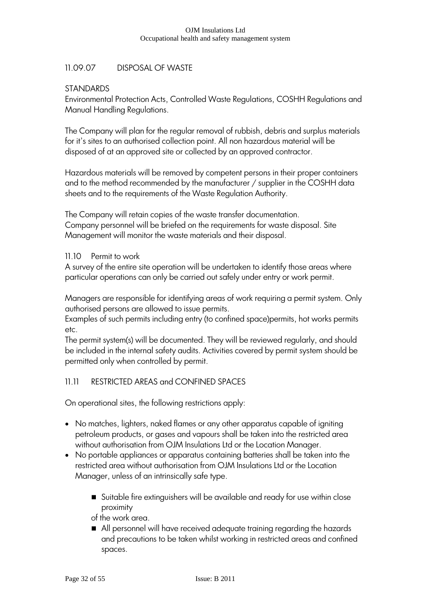# 11.09.07 DISPOSAL OF WASTE

# **STANDARDS**

Environmental Protection Acts, Controlled Waste Regulations, COSHH Regulations and Manual Handling Regulations.

The Company will plan for the regular removal of rubbish, debris and surplus materials for it"s sites to an authorised collection point. All non hazardous material will be disposed of at an approved site or collected by an approved contractor.

Hazardous materials will be removed by competent persons in their proper containers and to the method recommended by the manufacturer / supplier in the COSHH data sheets and to the requirements of the Waste Regulation Authority.

The Company will retain copies of the waste transfer documentation. Company personnel will be briefed on the requirements for waste disposal. Site Management will monitor the waste materials and their disposal.

### 11.10 Permit to work

A survey of the entire site operation will be undertaken to identify those areas where particular operations can only be carried out safely under entry or work permit.

Managers are responsible for identifying areas of work requiring a permit system. Only authorised persons are allowed to issue permits.

Examples of such permits including entry (to confined space)permits, hot works permits etc.

The permit system(s) will be documented. They will be reviewed regularly, and should be included in the internal safety audits. Activities covered by permit system should be permitted only when controlled by permit.

# 11.11 RESTRICTED AREAS and CONFINED SPACES

On operational sites, the following restrictions apply:

- No matches, lighters, naked flames or any other apparatus capable of igniting petroleum products, or gases and vapours shall be taken into the restricted area without authorisation from OJM Insulations Ltd or the Location Manager.
- No portable appliances or apparatus containing batteries shall be taken into the restricted area without authorisation from OJM Insulations Ltd or the Location Manager, unless of an intrinsically safe type.
	- Suitable fire extinguishers will be available and ready for use within close proximity

of the work area.

All personnel will have received adequate training regarding the hazards and precautions to be taken whilst working in restricted areas and confined spaces.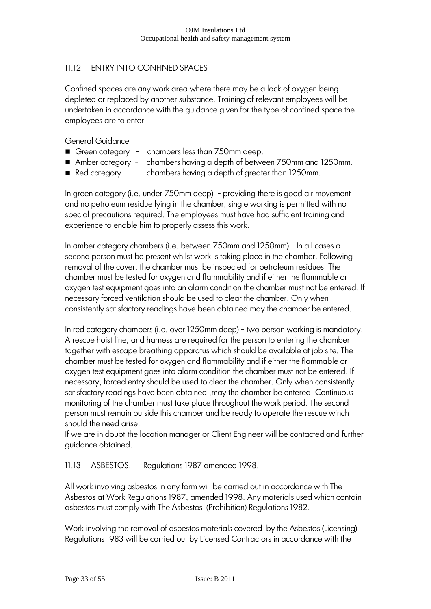# 11.12 ENTRY INTO CONFINED SPACES

Confined spaces are any work area where there may be a lack of oxygen being depleted or replaced by another substance. Training of relevant employees will be undertaken in accordance with the guidance given for the type of confined space the employees are to enter

General Guidance

- Green category chambers less than 750mm deep.
- Amber category chambers having a depth of between 750mm and 1250mm.
- Red category  $-$  chambers having a depth of greater than 1250mm.

In green category (i.e. under 750mm deep) - providing there is good air movement and no petroleum residue lying in the chamber, single working is permitted with no special precautions required. The employees must have had sufficient training and experience to enable him to properly assess this work.

In amber category chambers (i.e. between 750mm and 1250mm) - In all cases a second person must be present whilst work is taking place in the chamber. Following removal of the cover, the chamber must be inspected for petroleum residues. The chamber must be tested for oxygen and flammability and if either the flammable or oxygen test equipment goes into an alarm condition the chamber must not be entered. If necessary forced ventilation should be used to clear the chamber. Only when consistently satisfactory readings have been obtained may the chamber be entered.

In red category chambers (i.e. over 1250mm deep) - two person working is mandatory. A rescue hoist line, and harness are required for the person to entering the chamber together with escape breathing apparatus which should be available at job site. The chamber must be tested for oxygen and flammability and if either the flammable or oxygen test equipment goes into alarm condition the chamber must not be entered. If necessary, forced entry should be used to clear the chamber. Only when consistently satisfactory readings have been obtained ,may the chamber be entered. Continuous monitoring of the chamber must take place throughout the work period. The second person must remain outside this chamber and be ready to operate the rescue winch should the need arise.

If we are in doubt the location manager or Client Engineer will be contacted and further guidance obtained.

# 11.13 ASBESTOS. Regulations 1987 amended 1998.

All work involving asbestos in any form will be carried out in accordance with The Asbestos at Work Regulations 1987, amended 1998. Any materials used which contain asbestos must comply with The Asbestos (Prohibition) Regulations 1982.

Work involving the removal of asbestos materials covered by the Asbestos (Licensing) Regulations 1983 will be carried out by Licensed Contractors in accordance with the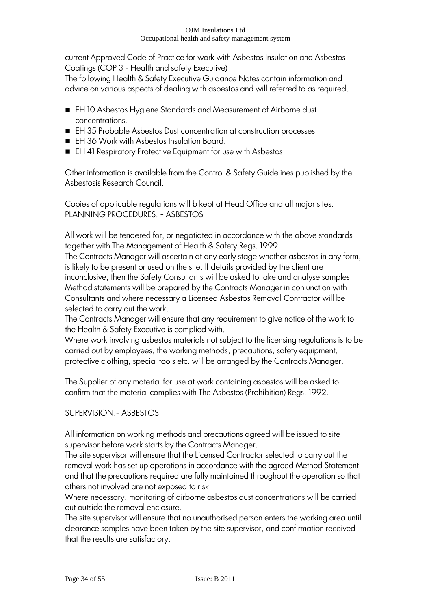current Approved Code of Practice for work with Asbestos Insulation and Asbestos Coatings (COP 3 - Health and safety Executive)

The following Health & Safety Executive Guidance Notes contain information and advice on various aspects of dealing with asbestos and will referred to as required.

- EH 10 Asbestos Hygiene Standards and Measurement of Airborne dust concentrations.
- EH 35 Probable Asbestos Dust concentration at construction processes.
- EH 36 Work with Asbestos Insulation Board.
- EH 41 Respiratory Protective Equipment for use with Asbestos.

Other information is available from the Control & Safety Guidelines published by the Asbestosis Research Council.

Copies of applicable regulations will b kept at Head Office and all major sites. PLANNING PROCEDURES. - ASBESTOS

All work will be tendered for, or negotiated in accordance with the above standards together with The Management of Health & Safety Regs. 1999.

The Contracts Manager will ascertain at any early stage whether asbestos in any form, is likely to be present or used on the site. If details provided by the client are inconclusive, then the Safety Consultants will be asked to take and analyse samples. Method statements will be prepared by the Contracts Manager in conjunction with Consultants and where necessary a Licensed Asbestos Removal Contractor will be selected to carry out the work.

The Contracts Manager will ensure that any requirement to give notice of the work to the Health & Safety Executive is complied with.

Where work involving asbestos materials not subject to the licensing regulations is to be carried out by employees, the working methods, precautions, safety equipment, protective clothing, special tools etc. will be arranged by the Contracts Manager.

The Supplier of any material for use at work containing asbestos will be asked to confirm that the material complies with The Asbestos (Prohibition) Regs. 1992.

# SUPERVISION.- ASBESTOS

All information on working methods and precautions agreed will be issued to site supervisor before work starts by the Contracts Manager.

The site supervisor will ensure that the Licensed Contractor selected to carry out the removal work has set up operations in accordance with the agreed Method Statement and that the precautions required are fully maintained throughout the operation so that others not involved are not exposed to risk.

Where necessary, monitoring of airborne asbestos dust concentrations will be carried out outside the removal enclosure.

The site supervisor will ensure that no unauthorised person enters the working area until clearance samples have been taken by the site supervisor, and confirmation received that the results are satisfactory.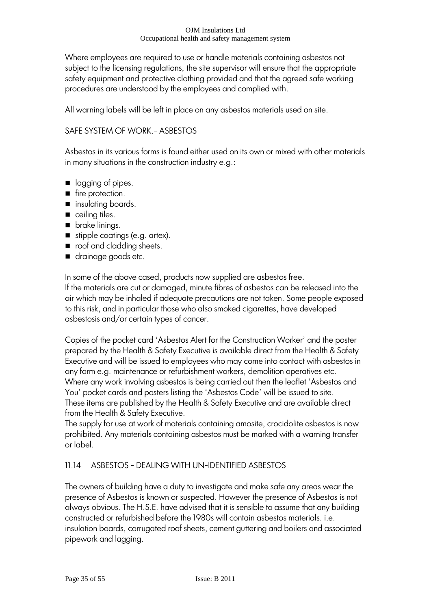Where employees are required to use or handle materials containing asbestos not subject to the licensing regulations, the site supervisor will ensure that the appropriate safety equipment and protective clothing provided and that the agreed safe working procedures are understood by the employees and complied with.

All warning labels will be left in place on any asbestos materials used on site.

### SAFE SYSTEM OF WORK.- ASBESTOS

Asbestos in its various forms is found either used on its own or mixed with other materials in many situations in the construction industry e.g.:

- lagging of pipes.
- fire protection.
- **n** insulating boards.
- ceiling tiles.
- **brake linings.**
- stipple coatings (e.g. artex).
- order oof and cladding sheets.
- drainage goods etc.

In some of the above cased, products now supplied are asbestos free. If the materials are cut or damaged, minute fibres of asbestos can be released into the air which may be inhaled if adequate precautions are not taken. Some people exposed to this risk, and in particular those who also smoked cigarettes, have developed asbestosis and/or certain types of cancer.

Copies of the pocket card "Asbestos Alert for the Construction Worker" and the poster prepared by the Health & Safety Executive is available direct from the Health & Safety Executive and will be issued to employees who may come into contact with asbestos in any form e.g. maintenance or refurbishment workers, demolition operatives etc. Where any work involving asbestos is being carried out then the leaflet "Asbestos and You" pocket cards and posters listing the "Asbestos Code" will be issued to site. These items are published by the Health & Safety Executive and are available direct from the Health & Safety Executive.

The supply for use at work of materials containing amosite, crocidolite asbestos is now prohibited. Any materials containing asbestos must be marked with a warning transfer or label.

# 11.14 ASBESTOS - DEALING WITH UN-IDENTIFIED ASBESTOS

The owners of building have a duty to investigate and make safe any areas wear the presence of Asbestos is known or suspected. However the presence of Asbestos is not always obvious. The H.S.E. have advised that it is sensible to assume that any building constructed or refurbished before the 1980s will contain asbestos materials. i.e. insulation boards, corrugated roof sheets, cement guttering and boilers and associated pipework and lagging.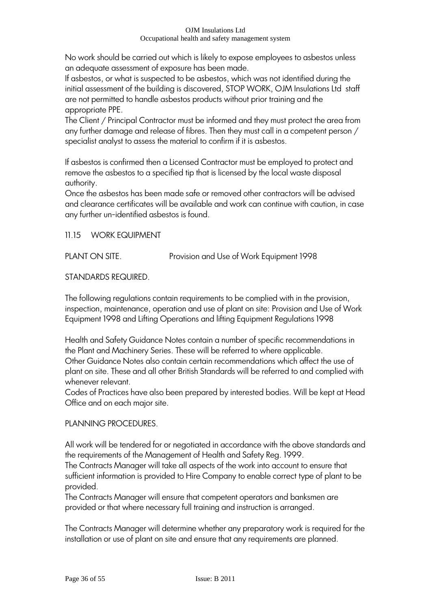No work should be carried out which is likely to expose employees to asbestos unless an adequate assessment of exposure has been made.

If asbestos, or what is suspected to be asbestos, which was not identified during the initial assessment of the building is discovered, STOP WORK, OJM Insulations Ltd staff are not permitted to handle asbestos products without prior training and the appropriate PPE.

The Client / Principal Contractor must be informed and they must protect the area from any further damage and release of fibres. Then they must call in a competent person / specialist analyst to assess the material to confirm if it is asbestos.

If asbestos is confirmed then a Licensed Contractor must be employed to protect and remove the asbestos to a specified tip that is licensed by the local waste disposal authority.

Once the asbestos has been made safe or removed other contractors will be advised and clearance certificates will be available and work can continue with caution, in case any further un-identified asbestos is found.

11.15 WORK EQUIPMENT

PLANT ON SITE. Provision and Use of Work Equipment 1998

# STANDARDS REQUIRED.

The following regulations contain requirements to be complied with in the provision, inspection, maintenance, operation and use of plant on site: Provision and Use of Work Equipment 1998 and Lifting Operations and lifting Equipment Regulations 1998

Health and Safety Guidance Notes contain a number of specific recommendations in the Plant and Machinery Series. These will be referred to where applicable. Other Guidance Notes also contain certain recommendations which affect the use of plant on site. These and all other British Standards will be referred to and complied with whenever relevant.

Codes of Practices have also been prepared by interested bodies. Will be kept at Head Office and on each major site.

# PLANNING PROCEDURES.

All work will be tendered for or negotiated in accordance with the above standards and the requirements of the Management of Health and Safety Reg. 1999.

The Contracts Manager will take all aspects of the work into account to ensure that sufficient information is provided to Hire Company to enable correct type of plant to be provided.

The Contracts Manager will ensure that competent operators and banksmen are provided or that where necessary full training and instruction is arranged.

The Contracts Manager will determine whether any preparatory work is required for the installation or use of plant on site and ensure that any requirements are planned.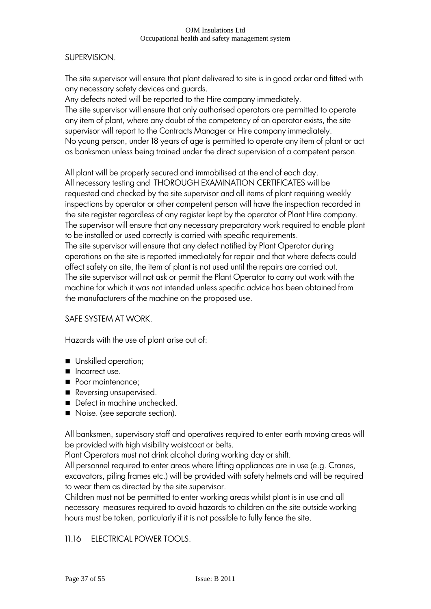### SUPERVISION.

The site supervisor will ensure that plant delivered to site is in good order and fitted with any necessary safety devices and guards.

Any defects noted will be reported to the Hire company immediately. The site supervisor will ensure that only authorised operators are permitted to operate any item of plant, where any doubt of the competency of an operator exists, the site supervisor will report to the Contracts Manager or Hire company immediately. No young person, under 18 years of age is permitted to operate any item of plant or act as banksman unless being trained under the direct supervision of a competent person.

All plant will be properly secured and immobilised at the end of each day. All necessary testing and THOROUGH EXAMINATION CERTIFICATES will be requested and checked by the site supervisor and all items of plant requiring weekly inspections by operator or other competent person will have the inspection recorded in the site register regardless of any register kept by the operator of Plant Hire company. The supervisor will ensure that any necessary preparatory work required to enable plant to be installed or used correctly is carried with specific requirements.

The site supervisor will ensure that any defect notified by Plant Operator during operations on the site is reported immediately for repair and that where defects could affect safety on site, the item of plant is not used until the repairs are carried out. The site supervisor will not ask or permit the Plant Operator to carry out work with the machine for which it was not intended unless specific advice has been obtained from the manufacturers of the machine on the proposed use.

### SAFE SYSTEM AT WORK.

Hazards with the use of plant arise out of:

- **Unskilled operation;**
- $\blacksquare$  Incorrect use.
- Poor maintenance;
- Reversing unsupervised.
- Defect in machine unchecked.
- Noise. (see separate section).

All banksmen, supervisory staff and operatives required to enter earth moving areas will be provided with high visibility waistcoat or belts.

Plant Operators must not drink alcohol during working day or shift.

All personnel required to enter areas where lifting appliances are in use (e.g. Cranes, excavators, piling frames etc.) will be provided with safety helmets and will be required to wear them as directed by the site supervisor.

Children must not be permitted to enter working areas whilst plant is in use and all necessary measures required to avoid hazards to children on the site outside working hours must be taken, particularly if it is not possible to fully fence the site.

### 11.16 ELECTRICAL POWER TOOLS.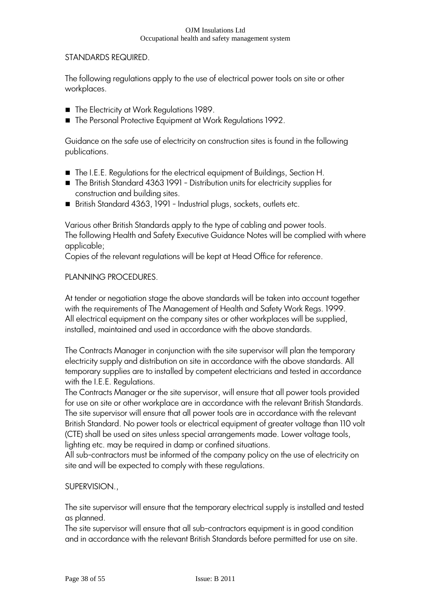### STANDARDS REQUIRED.

The following regulations apply to the use of electrical power tools on site or other workplaces.

- The Electricity at Work Regulations 1989.
- The Personal Protective Equipment at Work Regulations 1992.

Guidance on the safe use of electricity on construction sites is found in the following publications.

- The I.E.E. Regulations for the electrical equipment of Buildings, Section H.
- The British Standard 4363 1991 Distribution units for electricity supplies for construction and building sites.
- British Standard 4363, 1991 Industrial plugs, sockets, outlets etc.

Various other British Standards apply to the type of cabling and power tools. The following Health and Safety Executive Guidance Notes will be complied with where applicable;

Copies of the relevant regulations will be kept at Head Office for reference.

### PLANNING PROCEDURES.

At tender or negotiation stage the above standards will be taken into account together with the requirements of The Management of Health and Safety Work Regs. 1999. All electrical equipment on the company sites or other workplaces will be supplied, installed, maintained and used in accordance with the above standards.

The Contracts Manager in conjunction with the site supervisor will plan the temporary electricity supply and distribution on site in accordance with the above standards. All temporary supplies are to installed by competent electricians and tested in accordance with the I.E.E. Regulations.

The Contracts Manager or the site supervisor, will ensure that all power tools provided for use on site or other workplace are in accordance with the relevant British Standards. The site supervisor will ensure that all power tools are in accordance with the relevant British Standard. No power tools or electrical equipment of greater voltage than 110 volt (CTE) shall be used on sites unless special arrangements made. Lower voltage tools, lighting etc. may be required in damp or confined situations.

All sub-contractors must be informed of the company policy on the use of electricity on site and will be expected to comply with these regulations.

### SUPERVISION.,

The site supervisor will ensure that the temporary electrical supply is installed and tested as planned.

The site supervisor will ensure that all sub-contractors equipment is in good condition and in accordance with the relevant British Standards before permitted for use on site.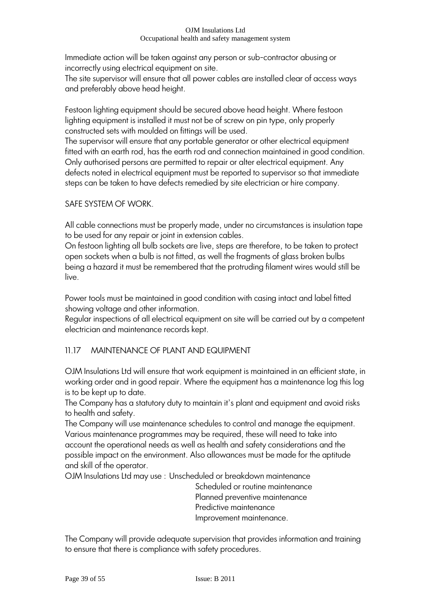Immediate action will be taken against any person or sub-contractor abusing or incorrectly using electrical equipment on site.

The site supervisor will ensure that all power cables are installed clear of access ways and preferably above head height.

Festoon lighting equipment should be secured above head height. Where festoon lighting equipment is installed it must not be of screw on pin type, only properly constructed sets with moulded on fittings will be used.

The supervisor will ensure that any portable generator or other electrical equipment fitted with an earth rod, has the earth rod and connection maintained in good condition. Only authorised persons are permitted to repair or alter electrical equipment. Any defects noted in electrical equipment must be reported to supervisor so that immediate steps can be taken to have defects remedied by site electrician or hire company.

# SAFE SYSTEM OF WORK.

All cable connections must be properly made, under no circumstances is insulation tape to be used for any repair or joint in extension cables.

On festoon lighting all bulb sockets are live, steps are therefore, to be taken to protect open sockets when a bulb is not fitted, as well the fragments of glass broken bulbs being a hazard it must be remembered that the protruding filament wires would still be live.

Power tools must be maintained in good condition with casing intact and label fitted showing voltage and other information.

Regular inspections of all electrical equipment on site will be carried out by a competent electrician and maintenance records kept.

# 11.17 MAINTENANCE OF PLANT AND EQUIPMENT

OJM Insulations Ltd will ensure that work equipment is maintained in an efficient state, in working order and in good repair. Where the equipment has a maintenance log this log is to be kept up to date.

The Company has a statutory duty to maintain it's plant and equipment and avoid risks to health and safety.

The Company will use maintenance schedules to control and manage the equipment. Various maintenance programmes may be required, these will need to take into account the operational needs as well as health and safety considerations and the possible impact on the environment. Also allowances must be made for the aptitude and skill of the operator.

OJM Insulations Ltd may use : Unscheduled or breakdown maintenance

Scheduled or routine maintenance Planned preventive maintenance Predictive maintenance Improvement maintenance.

The Company will provide adequate supervision that provides information and training to ensure that there is compliance with safety procedures.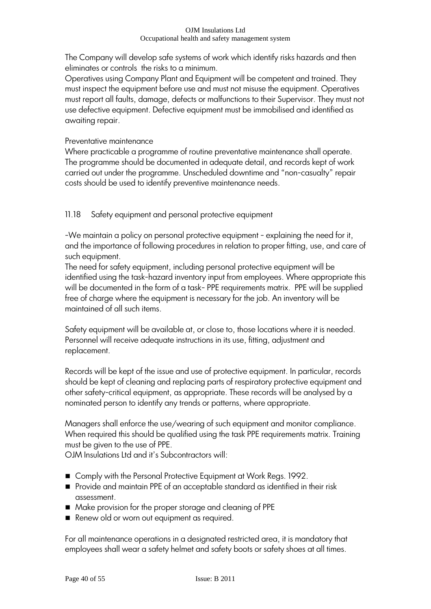The Company will develop safe systems of work which identify risks hazards and then eliminates or controls the risks to a minimum.

Operatives using Company Plant and Equipment will be competent and trained. They must inspect the equipment before use and must not misuse the equipment. Operatives must report all faults, damage, defects or malfunctions to their Supervisor. They must not use defective equipment. Defective equipment must be immobilised and identified as awaiting repair.

# Preventative maintenance

Where practicable a programme of routine preventative maintenance shall operate. The programme should be documented in adequate detail, and records kept of work carried out under the programme. Unscheduled downtime and "non-casualty" repair costs should be used to identify preventive maintenance needs.

11.18 Safety equipment and personal protective equipment

-We maintain a policy on personal protective equipment - explaining the need for it, and the importance of following procedures in relation to proper fitting, use, and care of such equipment.

The need for safety equipment, including personal protective equipment will be identified using the task-hazard inventory input from employees. Where appropriate this will be documented in the form of a task- PPE requirements matrix. PPE will be supplied free of charge where the equipment is necessary for the job. An inventory will be maintained of all such items.

Safety equipment will be available at, or close to, those locations where it is needed. Personnel will receive adequate instructions in its use, fitting, adjustment and replacement.

Records will be kept of the issue and use of protective equipment. In particular, records should be kept of cleaning and replacing parts of respiratory protective equipment and other safety-critical equipment, as appropriate. These records will be analysed by a nominated person to identify any trends or patterns, where appropriate.

Managers shall enforce the use/wearing of such equipment and monitor compliance. When required this should be qualified using the task PPE requirements matrix. Training must be given to the use of PPE.

OJM Insulations Ltd and it"s Subcontractors will:

- Comply with the Personal Protective Equipment at Work Regs. 1992.
- Provide and maintain PPE of an acceptable standard as identified in their risk assessment.
- Make provision for the proper storage and cleaning of PPE
- Renew old or worn out equipment as required.

For all maintenance operations in a designated restricted area, it is mandatory that employees shall wear a safety helmet and safety boots or safety shoes at all times.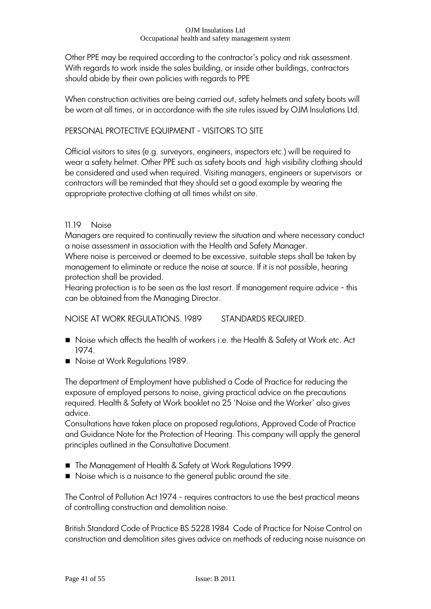Other PPE may be required according to the contractor"s policy and risk assessment. With regards to work inside the sales building, or inside other buildings, contractors should abide by their own policies with regards to PPE

When construction activities are being carried out, safety helmets and safety boots will be worn at all times, or in accordance with the site rules issued by OJM Insulations Ltd.

### PERSONAL PROTECTIVE EQUIPMENT - VISITORS TO SITE

Official visitors to sites (e.g. surveyors, engineers, inspectors etc.) will be required to wear a safety helmet. Other PPE such as safety boots and high visibility clothing should be considered and used when required. Visiting managers, engineers or supervisors or contractors will be reminded that they should set a good example by wearing the appropriate protective clothing at all times whilst on site.

### 11.19 Noise

Managers are required to continually review the situation and where necessary conduct a noise assessment in association with the Health and Safety Manager.

Where noise is perceived or deemed to be excessive, suitable steps shall be taken by management to eliminate or reduce the noise at source. If it is not possible, hearing protection shall be provided.

Hearing protection is to be seen as the last resort. If management require advice - this can be obtained from the Managing Director.

NOISE AT WORK REGULATIONS. 1989 STANDARDS REQUIRED.

- Noise which affects the health of workers i.e. the Health & Safety at Work etc. Act 1974.
- Noise at Work Regulations 1989.

The department of Employment have published a Code of Practice for reducing the exposure of employed persons to noise, giving practical advice on the precautions required. Health & Safety at Work booklet no 25 'Noise and the Worker' also gives advice.

Consultations have taken place on proposed regulations, Approved Code of Practice and Guidance Note for the Protection of Hearing. This company will apply the general principles outlined in the Consultative Document.

- The Management of Health & Safety at Work Regulations 1999.
- Noise which is a nuisance to the general public around the site.

The Control of Pollution Act 1974 - requires contractors to use the best practical means of controlling construction and demolition noise.

British Standard Code of Practice BS 5228 1984 Code of Practice for Noise Control on construction and demolition sites gives advice on methods of reducing noise nuisance on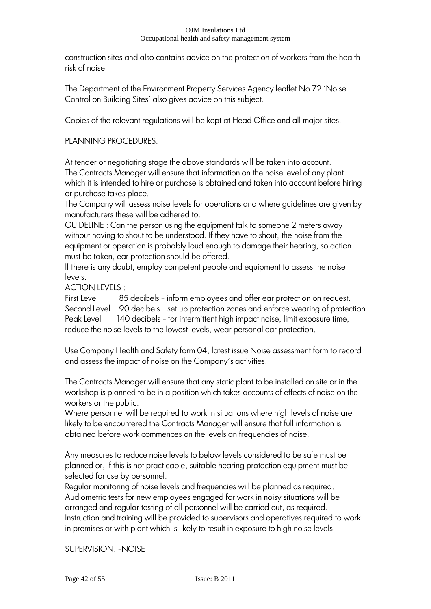construction sites and also contains advice on the protection of workers from the health risk of noise.

The Department of the Environment Property Services Agency leaflet No 72 "Noise Control on Building Sites" also gives advice on this subject.

Copies of the relevant regulations will be kept at Head Office and all major sites.

### PLANNING PROCEDURES.

At tender or negotiating stage the above standards will be taken into account. The Contracts Manager will ensure that information on the noise level of any plant which it is intended to hire or purchase is obtained and taken into account before hiring or purchase takes place.

The Company will assess noise levels for operations and where guidelines are given by manufacturers these will be adhered to.

GUIDELINE : Can the person using the equipment talk to someone 2 meters away without having to shout to be understood. If they have to shout, the noise from the equipment or operation is probably loud enough to damage their hearing, so action must be taken, ear protection should be offered.

If there is any doubt, employ competent people and equipment to assess the noise levels.

ACTION LEVELS :

First Level 85 decibels - inform employees and offer ear protection on request. Second Level 90 decibels - set up protection zones and enforce wearing of protection Peak Level 140 decibels - for intermittent high impact noise, limit exposure time, reduce the noise levels to the lowest levels, wear personal ear protection.

Use Company Health and Safety form 04, latest issue Noise assessment form to record and assess the impact of noise on the Company"s activities.

The Contracts Manager will ensure that any static plant to be installed on site or in the workshop is planned to be in a position which takes accounts of effects of noise on the workers or the public.

Where personnel will be required to work in situations where high levels of noise are likely to be encountered the Contracts Manager will ensure that full information is obtained before work commences on the levels an frequencies of noise.

Any measures to reduce noise levels to below levels considered to be safe must be planned or, if this is not practicable, suitable hearing protection equipment must be selected for use by personnel.

Regular monitoring of noise levels and frequencies will be planned as required. Audiometric tests for new employees engaged for work in noisy situations will be arranged and regular testing of all personnel will be carried out, as required. Instruction and training will be provided to supervisors and operatives required to work in premises or with plant which is likely to result in exposure to high noise levels.

SUPERVISION. -NOISE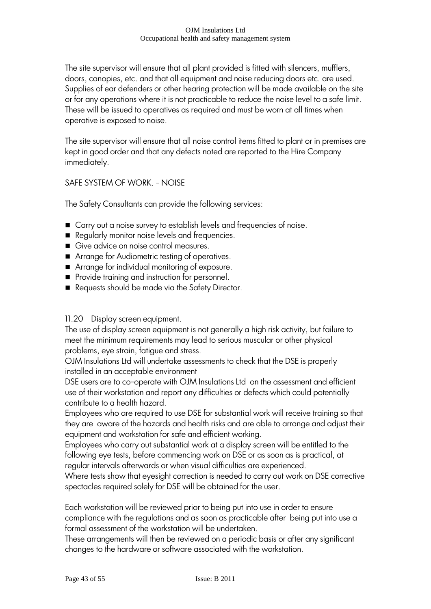The site supervisor will ensure that all plant provided is fitted with silencers, mufflers, doors, canopies, etc. and that all equipment and noise reducing doors etc. are used. Supplies of ear defenders or other hearing protection will be made available on the site or for any operations where it is not practicable to reduce the noise level to a safe limit. These will be issued to operatives as required and must be worn at all times when operative is exposed to noise.

The site supervisor will ensure that all noise control items fitted to plant or in premises are kept in good order and that any defects noted are reported to the Hire Company immediately.

# SAFE SYSTEM OF WORK. - NOISE

The Safety Consultants can provide the following services:

- Carry out a noise survey to establish levels and frequencies of noise.
- Regularly monitor noise levels and frequencies.
- Give advice on noise control measures.
- Arrange for Audiometric testing of operatives.
- Arrange for individual monitoring of exposure.
- **Provide training and instruction for personnel.**
- Requests should be made via the Safety Director.

### 11.20 Display screen equipment.

The use of display screen equipment is not generally a high risk activity, but failure to meet the minimum requirements may lead to serious muscular or other physical problems, eye strain, fatigue and stress.

OJM Insulations Ltd will undertake assessments to check that the DSE is properly installed in an acceptable environment

DSE users are to co-operate with OJM Insulations Ltd on the assessment and efficient use of their workstation and report any difficulties or defects which could potentially contribute to a health hazard.

Employees who are required to use DSE for substantial work will receive training so that they are aware of the hazards and health risks and are able to arrange and adjust their equipment and workstation for safe and efficient working.

Employees who carry out substantial work at a display screen will be entitled to the following eye tests, before commencing work on DSE or as soon as is practical, at regular intervals afterwards or when visual difficulties are experienced.

Where tests show that eyesight correction is needed to carry out work on DSE corrective spectacles required solely for DSE will be obtained for the user.

Each workstation will be reviewed prior to being put into use in order to ensure compliance with the regulations and as soon as practicable after being put into use a formal assessment of the workstation will be undertaken.

These arrangements will then be reviewed on a periodic basis or after any significant changes to the hardware or software associated with the workstation.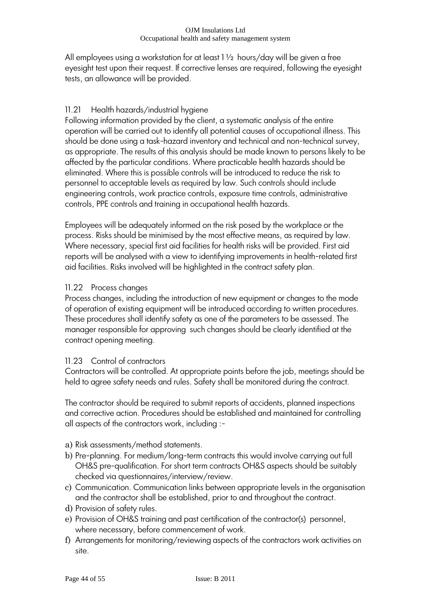All employees using a workstation for at least 1 ½ hours/day will be given a free eyesight test upon their request. If corrective lenses are required, following the eyesight tests, an allowance will be provided.

# 11.21 Health hazards/industrial hygiene

Following information provided by the client, a systematic analysis of the entire operation will be carried out to identify all potential causes of occupational illness. This should be done using a task-hazard inventory and technical and non-technical survey, as appropriate. The results of this analysis should be made known to persons likely to be affected by the particular conditions. Where practicable health hazards should be eliminated. Where this is possible controls will be introduced to reduce the risk to personnel to acceptable levels as required by law. Such controls should include engineering controls, work practice controls, exposure time controls, administrative controls, PPE controls and training in occupational health hazards.

Employees will be adequately informed on the risk posed by the workplace or the process. Risks should be minimised by the most effective means, as required by law. Where necessary, special first aid facilities for health risks will be provided. First aid reports will be analysed with a view to identifying improvements in health-related first aid facilities. Risks involved will be highlighted in the contract safety plan.

# 11.22 Process changes

Process changes, including the introduction of new equipment or changes to the mode of operation of existing equipment will be introduced according to written procedures. These procedures shall identify safety as one of the parameters to be assessed. The manager responsible for approving such changes should be clearly identified at the contract opening meeting.

# 11.23 Control of contractors

Contractors will be controlled. At appropriate points before the job, meetings should be held to agree safety needs and rules. Safety shall be monitored during the contract.

The contractor should be required to submit reports of accidents, planned inspections and corrective action. Procedures should be established and maintained for controlling all aspects of the contractors work, including :-

- a) Risk assessments/method statements.
- b) Pre-planning. For medium/long-term contracts this would involve carrying out full OH&S pre-qualification. For short term contracts OH&S aspects should be suitably checked via questionnaires/interview/review.
- c) Communication. Communication links between appropriate levels in the organisation and the contractor shall be established, prior to and throughout the contract.
- d) Provision of safety rules.
- e) Provision of OH&S training and past certification of the contractor(s) personnel, where necessary, before commencement of work.
- f) Arrangements for monitoring/reviewing aspects of the contractors work activities on site.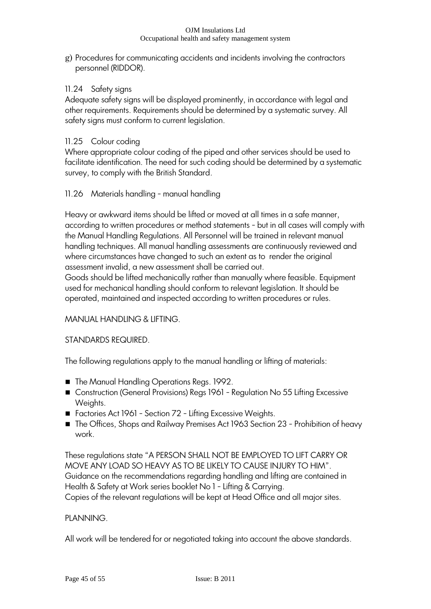g) Procedures for communicating accidents and incidents involving the contractors personnel (RIDDOR).

# 11.24 Safety signs

Adequate safety signs will be displayed prominently, in accordance with legal and other requirements. Requirements should be determined by a systematic survey. All safety signs must conform to current legislation.

# 11.25 Colour coding

Where appropriate colour coding of the piped and other services should be used to facilitate identification. The need for such coding should be determined by a systematic survey, to comply with the British Standard.

# 11.26 Materials handling - manual handling

Heavy or awkward items should be lifted or moved at all times in a safe manner, according to written procedures or method statements - but in all cases will comply with the Manual Handling Regulations. All Personnel will be trained in relevant manual handling techniques. All manual handling assessments are continuously reviewed and where circumstances have changed to such an extent as to render the original assessment invalid, a new assessment shall be carried out.

Goods should be lifted mechanically rather than manually where feasible. Equipment used for mechanical handling should conform to relevant legislation. It should be operated, maintained and inspected according to written procedures or rules.

# MANUAL HANDLING & LIFTING.

# STANDARDS REQUIRED.

The following regulations apply to the manual handling or lifting of materials:

- The Manual Handling Operations Regs. 1992.
- Construction (General Provisions) Regs 1961 Regulation No 55 Lifting Excessive Weights.
- Factories Act 1961 Section 72 Lifting Excessive Weights.
- The Offices, Shops and Railway Premises Act 1963 Section 23 Prohibition of heavy work.

These regulations state "A PERSON SHALL NOT BE EMPLOYED TO LIFT CARRY OR MOVE ANY LOAD SO HEAVY AS TO BE LIKELY TO CAUSE INJURY TO HIM". Guidance on the recommendations regarding handling and lifting are contained in Health & Safety at Work series booklet No 1 - Lifting & Carrying.

Copies of the relevant regulations will be kept at Head Office and all major sites.

### PLANNING.

All work will be tendered for or negotiated taking into account the above standards.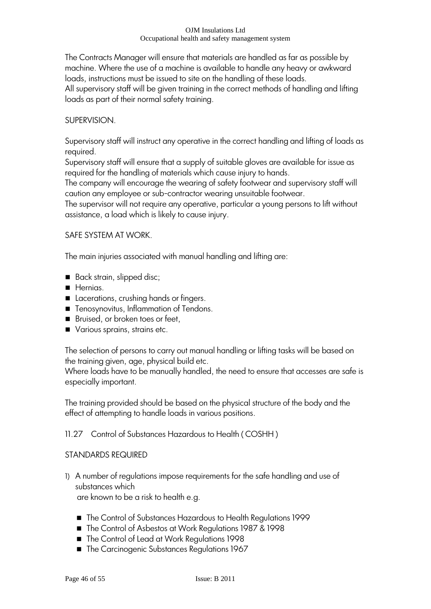The Contracts Manager will ensure that materials are handled as far as possible by machine. Where the use of a machine is available to handle any heavy or awkward loads, instructions must be issued to site on the handling of these loads. All supervisory staff will be given training in the correct methods of handling and lifting loads as part of their normal safety training.

### SUPERVISION.

Supervisory staff will instruct any operative in the correct handling and lifting of loads as required.

Supervisory staff will ensure that a supply of suitable gloves are available for issue as required for the handling of materials which cause injury to hands.

The company will encourage the wearing of safety footwear and supervisory staff will caution any employee or sub-contractor wearing unsuitable footwear.

The supervisor will not require any operative, particular a young persons to lift without assistance, a load which is likely to cause injury.

### SAFE SYSTEM AT WORK.

The main injuries associated with manual handling and lifting are:

- Back strain, slipped disc;
- **Hernias.**
- Lacerations, crushing hands or fingers.
- **Tenosynovitus, Inflammation of Tendons.**
- Bruised, or broken toes or feet,
- Various sprains, strains etc.

The selection of persons to carry out manual handling or lifting tasks will be based on the training given, age, physical build etc.

Where loads have to be manually handled, the need to ensure that accesses are safe is especially important.

The training provided should be based on the physical structure of the body and the effect of attempting to handle loads in various positions.

### 11.27 Control of Substances Hazardous to Health ( COSHH )

### STANDARDS REQUIRED

1) A number of regulations impose requirements for the safe handling and use of substances which

are known to be a risk to health e.g.

- The Control of Substances Hazardous to Health Regulations 1999
- The Control of Asbestos at Work Regulations 1987 & 1998
- The Control of Lead at Work Regulations 1998
- The Carcinogenic Substances Regulations 1967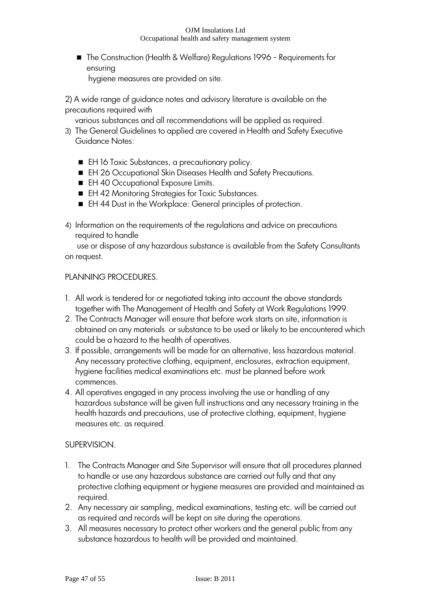■ The Construction (Health & Welfare) Regulations 1996 - Requirements for ensuring

hygiene measures are provided on site.

2) A wide range of guidance notes and advisory literature is available on the precautions required with

various substances and all recommendations will be applied as required.

- 3) The General Guidelines to applied are covered in Health and Safety Executive Guidance Notes:
	- EH 16 Toxic Substances, a precautionary policy.
	- EH 26 Occupational Skin Diseases Health and Safety Precautions.
	- **EH 40 Occupational Exposure Limits.**
	- EH 42 Monitoring Strategies for Toxic Substances.
	- EH 44 Dust in the Workplace: General principles of protection.
- 4) Information on the requirements of the regulations and advice on precautions required to handle

 use or dispose of any hazardous substance is available from the Safety Consultants on request.

### PLANNING PROCEDURES.

- 1. All work is tendered for or negotiated taking into account the above standards together with The Management of Health and Safety at Work Regulations 1999.
- 2. The Contracts Manager will ensure that before work starts on site, information is obtained on any materials or substance to be used or likely to be encountered which could be a hazard to the health of operatives.
- 3. If possible, arrangements will be made for an alternative, less hazardous material. Any necessary protective clothing, equipment, enclosures, extraction equipment, hygiene facilities medical examinations etc. must be planned before work commences.
- 4. All operatives engaged in any process involving the use or handling of any hazardous substance will be given full instructions and any necessary training in the health hazards and precautions, use of protective clothing, equipment, hygiene measures etc. as required.

# SUPERVISION.

- 1. The Contracts Manager and Site Supervisor will ensure that all procedures planned to handle or use any hazardous substance are carried out fully and that any protective clothing equipment or hygiene measures are provided and maintained as required.
- 2. Any necessary air sampling, medical examinations, testing etc. will be carried out as required and records will be kept on site during the operations.
- 3. All measures necessary to protect other workers and the general public from any substance hazardous to health will be provided and maintained.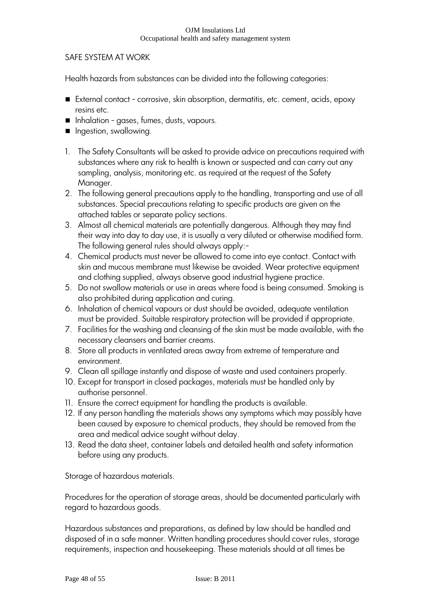### SAFE SYSTEM AT WORK

Health hazards from substances can be divided into the following categories:

- External contact corrosive, skin absorption, dermatitis, etc. cement, acids, epoxy resins etc.
- Inhalation gases, fumes, dusts, vapours.
- **n** Ingestion, swallowing.
- 1. The Safety Consultants will be asked to provide advice on precautions required with substances where any risk to health is known or suspected and can carry out any sampling, analysis, monitoring etc. as required at the request of the Safety Manager.
- 2. The following general precautions apply to the handling, transporting and use of all substances. Special precautions relating to specific products are given on the attached tables or separate policy sections.
- 3. Almost all chemical materials are potentially dangerous. Although they may find their way into day to day use, it is usually a very diluted or otherwise modified form. The following general rules should always apply:-
- 4. Chemical products must never be allowed to come into eye contact. Contact with skin and mucous membrane must likewise be avoided. Wear protective equipment and clothing supplied, always observe good industrial hygiene practice.
- 5. Do not swallow materials or use in areas where food is being consumed. Smoking is also prohibited during application and curing.
- 6. Inhalation of chemical vapours or dust should be avoided, adequate ventilation must be provided. Suitable respiratory protection will be provided if appropriate.
- 7. Facilities for the washing and cleansing of the skin must be made available, with the necessary cleansers and barrier creams.
- 8. Store all products in ventilated areas away from extreme of temperature and environment.
- 9. Clean all spillage instantly and dispose of waste and used containers properly.
- 10. Except for transport in closed packages, materials must be handled only by authorise personnel.
- 11. Ensure the correct equipment for handling the products is available.
- 12. If any person handling the materials shows any symptoms which may possibly have been caused by exposure to chemical products, they should be removed from the area and medical advice sought without delay.
- 13. Read the data sheet, container labels and detailed health and safety information before using any products.

Storage of hazardous materials.

Procedures for the operation of storage areas, should be documented particularly with regard to hazardous goods.

Hazardous substances and preparations, as defined by law should be handled and disposed of in a safe manner. Written handling procedures should cover rules, storage requirements, inspection and housekeeping. These materials should at all times be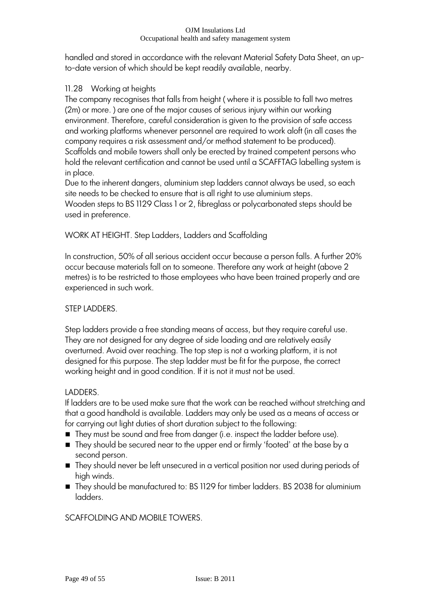handled and stored in accordance with the relevant Material Safety Data Sheet, an upto-date version of which should be kept readily available, nearby.

# 11.28 Working at heights

The company recognises that falls from height ( where it is possible to fall two metres (2m) or more. ) are one of the major causes of serious injury within our working environment. Therefore, careful consideration is given to the provision of safe access and working platforms whenever personnel are required to work aloft (in all cases the company requires a risk assessment and/or method statement to be produced). Scaffolds and mobile towers shall only be erected by trained competent persons who hold the relevant certification and cannot be used until a SCAFFTAG labelling system is in place.

Due to the inherent dangers, aluminium step ladders cannot always be used, so each site needs to be checked to ensure that is all right to use aluminium steps. Wooden steps to BS 1129 Class 1 or 2, fibreglass or polycarbonated steps should be used in preference.

WORK AT HEIGHT. Step Ladders, Ladders and Scaffolding

In construction, 50% of all serious accident occur because a person falls. A further 20% occur because materials fall on to someone. Therefore any work at height (above 2 metres) is to be restricted to those employees who have been trained properly and are experienced in such work.

# STEP LADDERS.

Step ladders provide a free standing means of access, but they require careful use. They are not designed for any degree of side loading and are relatively easily overturned. Avoid over reaching. The top step is not a working platform, it is not designed for this purpose. The step ladder must be fit for the purpose, the correct working height and in good condition. If it is not it must not be used.

# LADDERS.

If ladders are to be used make sure that the work can be reached without stretching and that a good handhold is available. Ladders may only be used as a means of access or for carrying out light duties of short duration subject to the following:

- They must be sound and free from danger (i.e. inspect the ladder before use).
- They should be secured near to the upper end or firmly 'footed' at the base by a second person.
- They should never be left unsecured in a vertical position nor used during periods of high winds.
- They should be manufactured to: BS 1129 for timber ladders. BS 2038 for aluminium ladders.

SCAFFOLDING AND MOBILE TOWERS.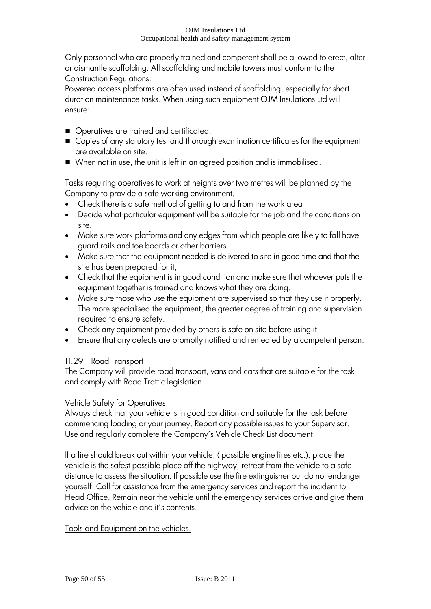Only personnel who are properly trained and competent shall be allowed to erect, alter or dismantle scaffolding. All scaffolding and mobile towers must conform to the Construction Regulations.

Powered access platforms are often used instead of scaffolding, especially for short duration maintenance tasks. When using such equipment OJM Insulations Ltd will ensure:

- Operatives are trained and certificated.
- Copies of any statutory test and thorough examination certificates for the equipment are available on site.
- When not in use, the unit is left in an agreed position and is immobilised.

Tasks requiring operatives to work at heights over two metres will be planned by the Company to provide a safe working environment.

- Check there is a safe method of getting to and from the work area
- Decide what particular equipment will be suitable for the job and the conditions on site.
- Make sure work platforms and any edges from which people are likely to fall have guard rails and toe boards or other barriers.
- Make sure that the equipment needed is delivered to site in good time and that the site has been prepared for it,
- Check that the equipment is in good condition and make sure that whoever puts the equipment together is trained and knows what they are doing.
- Make sure those who use the equipment are supervised so that they use it properly. The more specialised the equipment, the greater degree of training and supervision required to ensure safety.
- Check any equipment provided by others is safe on site before using it.
- Ensure that any defects are promptly notified and remedied by a competent person.

# 11.29 Road Transport

The Company will provide road transport, vans and cars that are suitable for the task and comply with Road Traffic legislation.

# Vehicle Safety for Operatives.

Always check that your vehicle is in good condition and suitable for the task before commencing loading or your journey. Report any possible issues to your Supervisor. Use and regularly complete the Company"s Vehicle Check List document.

If a fire should break out within your vehicle, ( possible engine fires etc.), place the vehicle is the safest possible place off the highway, retreat from the vehicle to a safe distance to assess the situation. If possible use the fire extinguisher but do not endanger yourself. Call for assistance from the emergency services and report the incident to Head Office. Remain near the vehicle until the emergency services arrive and give them advice on the vehicle and it's contents.

# Tools and Equipment on the vehicles.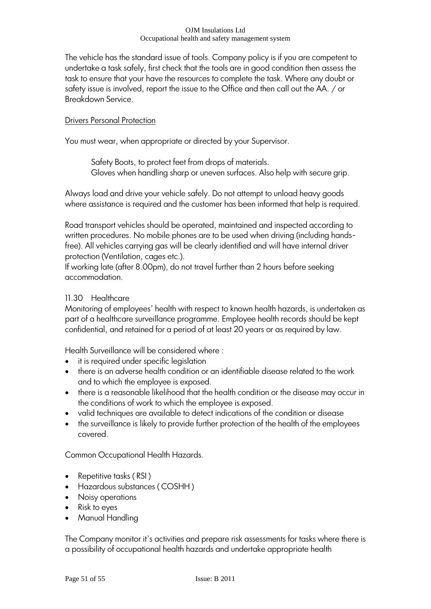The vehicle has the standard issue of tools. Company policy is if you are competent to undertake a task safely, first check that the tools are in good condition then assess the task to ensure that your have the resources to complete the task. Where any doubt or safety issue is involved, report the issue to the Office and then call out the AA. / or Breakdown Service.

### Drivers Personal Protection

You must wear, when appropriate or directed by your Supervisor.

Safety Boots, to protect feet from drops of materials. Gloves when handling sharp or uneven surfaces. Also help with secure grip.

Always load and drive your vehicle safely. Do not attempt to unload heavy goods where assistance is required and the customer has been informed that help is required.

Road transport vehicles should be operated, maintained and inspected according to written procedures. No mobile phones are to be used when driving (including handsfree). All vehicles carrying gas will be clearly identified and will have internal driver protection (Ventilation, cages etc.).

If working late (after 8.00pm), do not travel further than 2 hours before seeking accommodation.

# 11.30 Healthcare

Monitoring of employees" health with respect to known health hazards, is undertaken as part of a healthcare surveillance programme. Employee health records should be kept confidential, and retained for a period of at least 20 years or as required by law.

Health Surveillance will be considered where :

- it is required under specific legislation
- there is an adverse health condition or an identifiable disease related to the work and to which the employee is exposed.
- there is a reasonable likelihood that the health condition or the disease may occur in the conditions of work to which the employee is exposed.
- valid techniques are available to detect indications of the condition or disease
- the surveillance is likely to provide further protection of the health of the employees covered.

Common Occupational Health Hazards.

- Repetitive tasks (RSI)
- Hazardous substances ( COSHH )
- Noisy operations
- Risk to eyes
- Manual Handling

The Company monitor it's activities and prepare risk assessments for tasks where there is a possibility of occupational health hazards and undertake appropriate health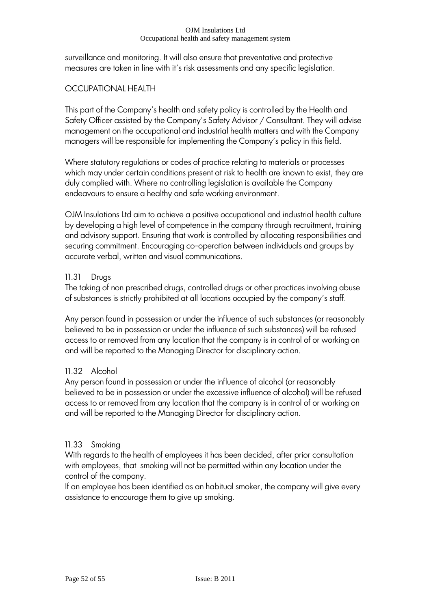surveillance and monitoring. It will also ensure that preventative and protective measures are taken in line with it's risk assessments and any specific legislation.

# OCCUPATIONAL HEALTH

This part of the Company's health and safety policy is controlled by the Health and Safety Officer assisted by the Company's Safety Advisor / Consultant. They will advise management on the occupational and industrial health matters and with the Company managers will be responsible for implementing the Company"s policy in this field.

Where statutory regulations or codes of practice relating to materials or processes which may under certain conditions present at risk to health are known to exist, they are duly complied with. Where no controlling legislation is available the Company endeavours to ensure a healthy and safe working environment.

OJM Insulations Ltd aim to achieve a positive occupational and industrial health culture by developing a high level of competence in the company through recruitment, training and advisory support. Ensuring that work is controlled by allocating responsibilities and securing commitment. Encouraging co-operation between individuals and groups by accurate verbal, written and visual communications.

# 11.31 Drugs

The taking of non prescribed drugs, controlled drugs or other practices involving abuse of substances is strictly prohibited at all locations occupied by the company"s staff.

Any person found in possession or under the influence of such substances (or reasonably believed to be in possession or under the influence of such substances) will be refused access to or removed from any location that the company is in control of or working on and will be reported to the Managing Director for disciplinary action.

# 11.32 Alcohol

Any person found in possession or under the influence of alcohol (or reasonably believed to be in possession or under the excessive influence of alcohol) will be refused access to or removed from any location that the company is in control of or working on and will be reported to the Managing Director for disciplinary action.

# 11.33 Smoking

With regards to the health of employees it has been decided, after prior consultation with employees, that smoking will not be permitted within any location under the control of the company.

If an employee has been identified as an habitual smoker, the company will give every assistance to encourage them to give up smoking.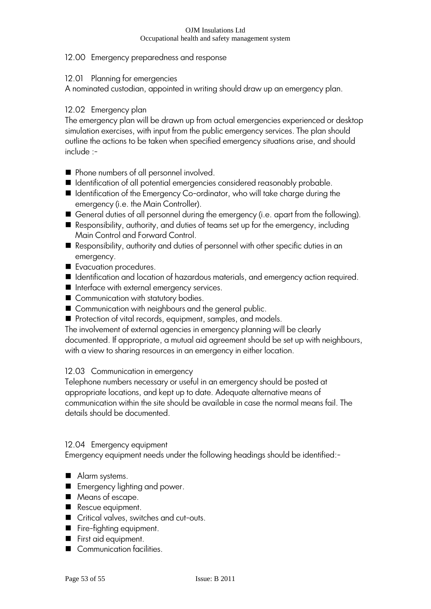## 12.00 Emergency preparedness and response

### 12.01 Planning for emergencies

A nominated custodian, appointed in writing should draw up an emergency plan.

# 12.02 Emergency plan

The emergency plan will be drawn up from actual emergencies experienced or desktop simulation exercises, with input from the public emergency services. The plan should outline the actions to be taken when specified emergency situations arise, and should include :-

- Phone numbers of all personnel involved.
- Identification of all potential emergencies considered reasonably probable.
- Identification of the Emergency Co-ordinator, who will take charge during the emergency (i.e. the Main Controller).
- General duties of all personnel during the emergency (i.e. apart from the following).
- Responsibility, authority, and duties of teams set up for the emergency, including Main Control and Forward Control.
- Responsibility, authority and duties of personnel with other specific duties in an emergency.
- Evacuation procedures.
- Identification and location of hazardous materials, and emergency action required.
- Interface with external emergency services.
- Communication with statutory bodies.
- Communication with neighbours and the general public.
- Protection of vital records, equipment, samples, and models.

The involvement of external agencies in emergency planning will be clearly documented. If appropriate, a mutual aid agreement should be set up with neighbours, with a view to sharing resources in an emergency in either location.

# 12.03 Communication in emergency

Telephone numbers necessary or useful in an emergency should be posted at appropriate locations, and kept up to date. Adequate alternative means of communication within the site should be available in case the normal means fail. The details should be documented.

### 12.04 Emergency equipment

Emergency equipment needs under the following headings should be identified:-

- Alarm systems.
- **Emergency lighting and power.**
- Means of escape.
- Rescue equipment.
- Critical valves, switches and cut-outs.
- Fire-fighting equipment.
- First aid equipment.
- Communication facilities.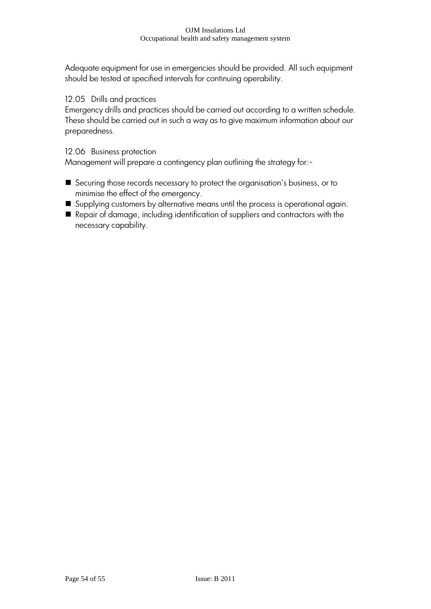Adequate equipment for use in emergencies should be provided. All such equipment should be tested at specified intervals for continuing operability.

### 12.05 Drills and practices

Emergency drills and practices should be carried out according to a written schedule. These should be carried out in such a way as to give maximum information about our preparedness.

### 12.06 Business protection

Management will prepare a contingency plan outlining the strategy for:-

- Securing those records necessary to protect the organisation"s business, or to minimise the effect of the emergency.
- Supplying customers by alternative means until the process is operational again.
- Repair of damage, including identification of suppliers and contractors with the necessary capability.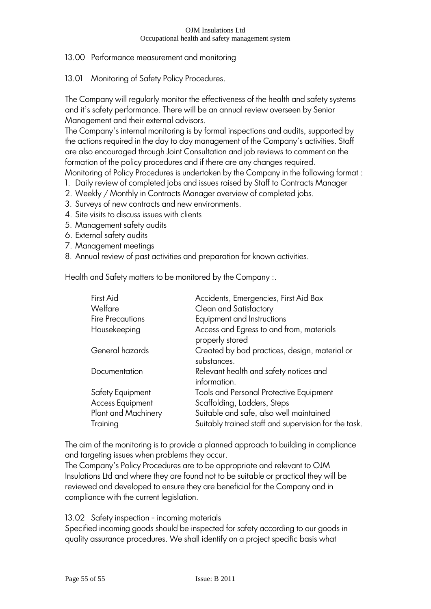# 13.00 Performance measurement and monitoring

13.01 Monitoring of Safety Policy Procedures.

The Company will regularly monitor the effectiveness of the health and safety systems and it"s safety performance. There will be an annual review overseen by Senior Management and their external advisors.

The Company"s internal monitoring is by formal inspections and audits, supported by the actions required in the day to day management of the Company"s activities. Staff are also encouraged through Joint Consultation and job reviews to comment on the formation of the policy procedures and if there are any changes required. Monitoring of Policy Procedures is undertaken by the Company in the following format :

- 1. Daily review of completed jobs and issues raised by Staff to Contracts Manager
- 2. Weekly / Monthly in Contracts Manager overview of completed jobs.
- 3. Surveys of new contracts and new environments.
- 4. Site visits to discuss issues with clients
- 5. Management safety audits
- 6. External safety audits
- 7. Management meetings
- 8. Annual review of past activities and preparation for known activities.

Health and Safety matters to be monitored by the Company :.

| First Aid               | Accidents, Emergencies, First Aid Box                        |
|-------------------------|--------------------------------------------------------------|
| Welfare                 | Clean and Satisfactory                                       |
| <b>Fire Precautions</b> | Equipment and Instructions                                   |
| Housekeeping            | Access and Egress to and from, materials<br>properly stored  |
| General hazards         | Created by bad practices, design, material or<br>substances. |
| Documentation           | Relevant health and safety notices and<br>information.       |
| Safety Equipment        | <b>Tools and Personal Protective Equipment</b>               |
| <b>Access Equipment</b> | Scaffolding, Ladders, Steps                                  |
| Plant and Machinery     | Suitable and safe, also well maintained                      |
| Training                | Suitably trained staff and supervision for the task.         |

The aim of the monitoring is to provide a planned approach to building in compliance and targeting issues when problems they occur.

The Company's Policy Procedures are to be appropriate and relevant to OJM Insulations Ltd and where they are found not to be suitable or practical they will be reviewed and developed to ensure they are beneficial for the Company and in compliance with the current legislation.

13.02 Safety inspection - incoming materials

Specified incoming goods should be inspected for safety according to our goods in quality assurance procedures. We shall identify on a project specific basis what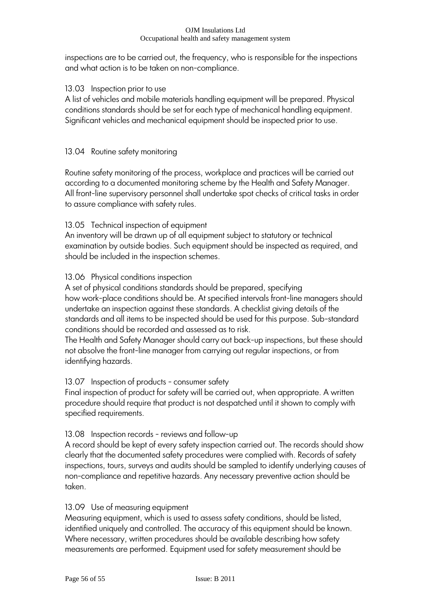inspections are to be carried out, the frequency, who is responsible for the inspections and what action is to be taken on non-compliance.

### 13.03 Inspection prior to use

A list of vehicles and mobile materials handling equipment will be prepared. Physical conditions standards should be set for each type of mechanical handling equipment. Significant vehicles and mechanical equipment should be inspected prior to use.

### 13.04 Routine safety monitoring

Routine safety monitoring of the process, workplace and practices will be carried out according to a documented monitoring scheme by the Health and Safety Manager. All front-line supervisory personnel shall undertake spot checks of critical tasks in order to assure compliance with safety rules.

### 13.05 Technical inspection of equipment

An inventory will be drawn up of all equipment subject to statutory or technical examination by outside bodies. Such equipment should be inspected as required, and should be included in the inspection schemes.

### 13.06 Physical conditions inspection

A set of physical conditions standards should be prepared, specifying how work-place conditions should be. At specified intervals front-line managers should undertake an inspection against these standards. A checklist giving details of the standards and all items to be inspected should be used for this purpose. Sub-standard conditions should be recorded and assessed as to risk.

The Health and Safety Manager should carry out back-up inspections, but these should not absolve the front-line manager from carrying out regular inspections, or from identifying hazards.

### 13.07 Inspection of products - consumer safety

Final inspection of product for safety will be carried out, when appropriate. A written procedure should require that product is not despatched until it shown to comply with specified requirements.

### 13.08 Inspection records - reviews and follow-up

A record should be kept of every safety inspection carried out. The records should show clearly that the documented safety procedures were complied with. Records of safety inspections, tours, surveys and audits should be sampled to identify underlying causes of non-compliance and repetitive hazards. Any necessary preventive action should be taken.

### 13.09 Use of measuring equipment

Measuring equipment, which is used to assess safety conditions, should be listed, identified uniquely and controlled. The accuracy of this equipment should be known. Where necessary, written procedures should be available describing how safety measurements are performed. Equipment used for safety measurement should be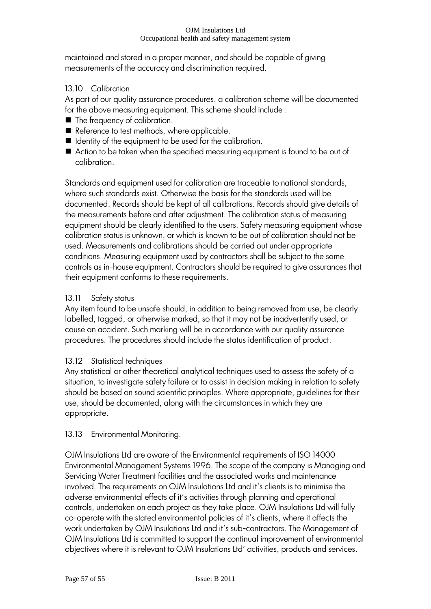maintained and stored in a proper manner, and should be capable of giving measurements of the accuracy and discrimination required.

# 13.10 Calibration

As part of our quality assurance procedures, a calibration scheme will be documented for the above measuring equipment. This scheme should include :

- The frequency of calibration.
- Reference to test methods, where applicable.
- $\blacksquare$  Identity of the equipment to be used for the calibration.
- Action to be taken when the specified measuring equipment is found to be out of calibration.

Standards and equipment used for calibration are traceable to national standards, where such standards exist. Otherwise the basis for the standards used will be documented. Records should be kept of all calibrations. Records should give details of the measurements before and after adjustment. The calibration status of measuring equipment should be clearly identified to the users. Safety measuring equipment whose calibration status is unknown, or which is known to be out of calibration should not be used. Measurements and calibrations should be carried out under appropriate conditions. Measuring equipment used by contractors shall be subject to the same controls as in-house equipment. Contractors should be required to give assurances that their equipment conforms to these requirements.

# 13.11 Safety status

Any item found to be unsafe should, in addition to being removed from use, be clearly labelled, tagged, or otherwise marked, so that it may not be inadvertently used, or cause an accident. Such marking will be in accordance with our quality assurance procedures. The procedures should include the status identification of product.

# 13.12 Statistical techniques

Any statistical or other theoretical analytical techniques used to assess the safety of a situation, to investigate safety failure or to assist in decision making in relation to safety should be based on sound scientific principles. Where appropriate, guidelines for their use, should be documented, along with the circumstances in which they are appropriate.

# 13.13 Environmental Monitoring.

OJM Insulations Ltd are aware of the Environmental requirements of ISO 14000 Environmental Management Systems 1996. The scope of the company is Managing and Servicing Water Treatment facilities and the associated works and maintenance involved. The requirements on OJM Insulations Ltd and it"s clients is to minimise the adverse environmental effects of it"s activities through planning and operational controls, undertaken on each project as they take place. OJM Insulations Ltd will fully co-operate with the stated environmental policies of it"s clients, where it affects the work undertaken by OJM Insulations Ltd and it"s sub-contractors. The Management of OJM Insulations Ltd is committed to support the continual improvement of environmental objectives where it is relevant to OJM Insulations Ltd" activities, products and services.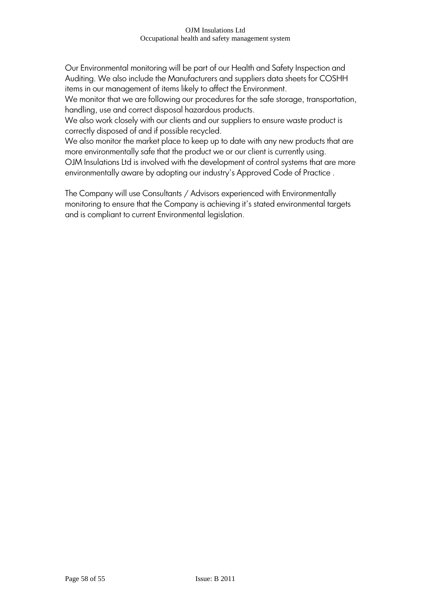Our Environmental monitoring will be part of our Health and Safety Inspection and Auditing. We also include the Manufacturers and suppliers data sheets for COSHH items in our management of items likely to affect the Environment.

We monitor that we are following our procedures for the safe storage, transportation, handling, use and correct disposal hazardous products.

We also work closely with our clients and our suppliers to ensure waste product is correctly disposed of and if possible recycled.

We also monitor the market place to keep up to date with any new products that are more environmentally safe that the product we or our client is currently using.

OJM Insulations Ltd is involved with the development of control systems that are more environmentally aware by adopting our industry's Approved Code of Practice.

The Company will use Consultants / Advisors experienced with Environmentally monitoring to ensure that the Company is achieving it's stated environmental targets and is compliant to current Environmental legislation.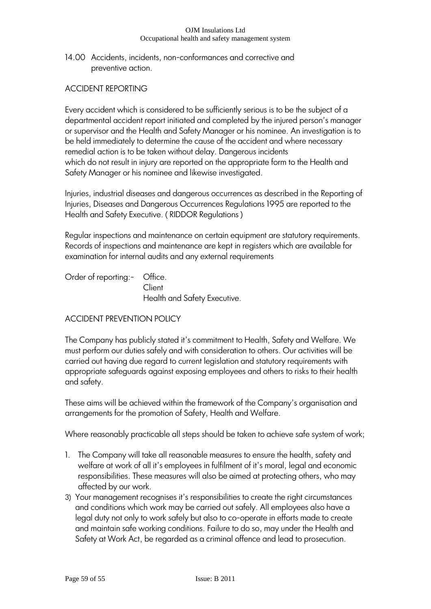14.00 Accidents, incidents, non-conformances and corrective and preventive action.

# ACCIDENT REPORTING

Every accident which is considered to be sufficiently serious is to be the subject of a departmental accident report initiated and completed by the injured person"s manager or supervisor and the Health and Safety Manager or his nominee. An investigation is to be held immediately to determine the cause of the accident and where necessary remedial action is to be taken without delay. Dangerous incidents which do not result in injury are reported on the appropriate form to the Health and Safety Manager or his nominee and likewise investigated.

Injuries, industrial diseases and dangerous occurrences as described in the Reporting of Injuries, Diseases and Dangerous Occurrences Regulations 1995 are reported to the Health and Safety Executive. ( RIDDOR Regulations )

Regular inspections and maintenance on certain equipment are statutory requirements. Records of inspections and maintenance are kept in registers which are available for examination for internal audits and any external requirements

Order of reporting:- Office. **Client** 

Health and Safety Executive.

# ACCIDENT PREVENTION POLICY

The Company has publicly stated it"s commitment to Health, Safety and Welfare. We must perform our duties safely and with consideration to others. Our activities will be carried out having due regard to current legislation and statutory requirements with appropriate safeguards against exposing employees and others to risks to their health and safety.

These aims will be achieved within the framework of the Company"s organisation and arrangements for the promotion of Safety, Health and Welfare.

Where reasonably practicable all steps should be taken to achieve safe system of work;

- 1. The Company will take all reasonable measures to ensure the health, safety and welfare at work of all it's employees in fulfilment of it's moral, legal and economic responsibilities. These measures will also be aimed at protecting others, who may affected by our work.
- 3) Your management recognises it"s responsibilities to create the right circumstances and conditions which work may be carried out safely. All employees also have a legal duty not only to work safely but also to co-operate in efforts made to create and maintain safe working conditions. Failure to do so, may under the Health and Safety at Work Act, be regarded as a criminal offence and lead to prosecution.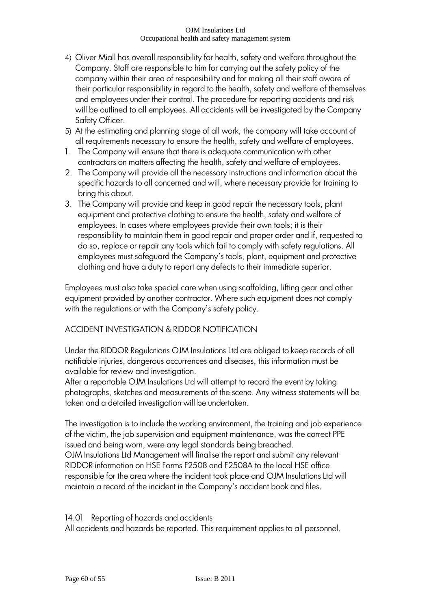- 4) Oliver Miall has overall responsibility for health, safety and welfare throughout the Company. Staff are responsible to him for carrying out the safety policy of the company within their area of responsibility and for making all their staff aware of their particular responsibility in regard to the health, safety and welfare of themselves and employees under their control. The procedure for reporting accidents and risk will be outlined to all employees. All accidents will be investigated by the Company Safety Officer.
- 5) At the estimating and planning stage of all work, the company will take account of all requirements necessary to ensure the health, safety and welfare of employees.
- 1. The Company will ensure that there is adequate communication with other contractors on matters affecting the health, safety and welfare of employees.
- 2. The Company will provide all the necessary instructions and information about the specific hazards to all concerned and will, where necessary provide for training to bring this about.
- 3. The Company will provide and keep in good repair the necessary tools, plant equipment and protective clothing to ensure the health, safety and welfare of employees. In cases where employees provide their own tools; it is their responsibility to maintain them in good repair and proper order and if, requested to do so, replace or repair any tools which fail to comply with safety regulations. All employees must safeguard the Company"s tools, plant, equipment and protective clothing and have a duty to report any defects to their immediate superior.

Employees must also take special care when using scaffolding, lifting gear and other equipment provided by another contractor. Where such equipment does not comply with the regulations or with the Company's safety policy.

# ACCIDENT INVESTIGATION & RIDDOR NOTIFICATION

Under the RIDDOR Regulations OJM Insulations Ltd are obliged to keep records of all notifiable injuries, dangerous occurrences and diseases, this information must be available for review and investigation.

After a reportable OJM Insulations Ltd will attempt to record the event by taking photographs, sketches and measurements of the scene. Any witness statements will be taken and a detailed investigation will be undertaken.

The investigation is to include the working environment, the training and job experience of the victim, the job supervision and equipment maintenance, was the correct PPE issued and being worn, were any legal standards being breached. OJM Insulations Ltd Management will finalise the report and submit any relevant RIDDOR information on HSE Forms F2508 and F2508A to the local HSE office responsible for the area where the incident took place and OJM Insulations Ltd will maintain a record of the incident in the Company"s accident book and files.

### 14.01 Reporting of hazards and accidents

All accidents and hazards be reported. This requirement applies to all personnel.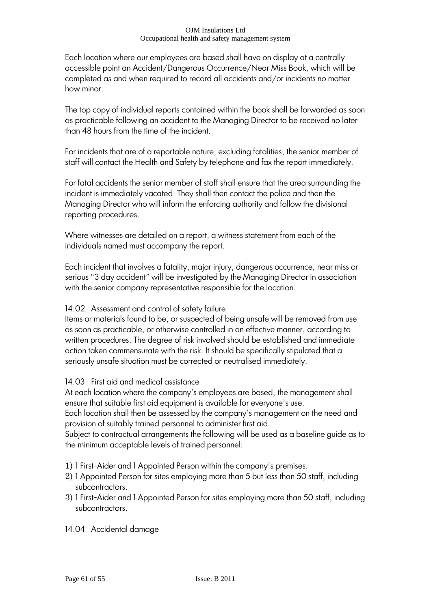Each location where our employees are based shall have on display at a centrally accessible point an Accident/Dangerous Occurrence/Near Miss Book, which will be completed as and when required to record all accidents and/or incidents no matter how minor.

The top copy of individual reports contained within the book shall be forwarded as soon as practicable following an accident to the Managing Director to be received no later than 48 hours from the time of the incident.

For incidents that are of a reportable nature, excluding fatalities, the senior member of staff will contact the Health and Safety by telephone and fax the report immediately.

For fatal accidents the senior member of staff shall ensure that the area surrounding the incident is immediately vacated. They shall then contact the police and then the Managing Director who will inform the enforcing authority and follow the divisional reporting procedures.

Where witnesses are detailed on a report, a witness statement from each of the individuals named must accompany the report.

Each incident that involves a fatality, major injury, dangerous occurrence, near miss or serious "3 day accident" will be investigated by the Managing Director in association with the senior company representative responsible for the location.

# 14.02 Assessment and control of safety failure

Items or materials found to be, or suspected of being unsafe will be removed from use as soon as practicable, or otherwise controlled in an effective manner, according to written procedures. The degree of risk involved should be established and immediate action taken commensurate with the risk. It should be specifically stipulated that a seriously unsafe situation must be corrected or neutralised immediately.

# 14.03 First aid and medical assistance

At each location where the company"s employees are based, the management shall ensure that suitable first aid equipment is available for everyone's use.

Each location shall then be assessed by the company"s management on the need and provision of suitably trained personnel to administer first aid.

Subject to contractual arrangements the following will be used as a baseline guide as to the minimum acceptable levels of trained personnel:

- 1) 1 First-Aider and 1 Appointed Person within the company"s premises.
- 2) 1 Appointed Person for sites employing more than 5 but less than 50 staff, including subcontractors.
- 3) 1 First-Aider and 1 Appointed Person for sites employing more than 50 staff, including subcontractors.
- 14.04 Accidental damage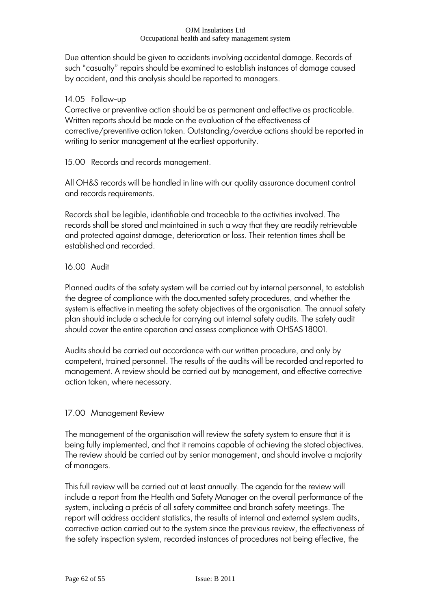Due attention should be given to accidents involving accidental damage. Records of such "casualty" repairs should be examined to establish instances of damage caused by accident, and this analysis should be reported to managers.

### 14.05 Follow-up

Corrective or preventive action should be as permanent and effective as practicable. Written reports should be made on the evaluation of the effectiveness of corrective/preventive action taken. Outstanding/overdue actions should be reported in writing to senior management at the earliest opportunity.

15.00 Records and records management.

All OH&S records will be handled in line with our quality assurance document control and records requirements.

Records shall be legible, identifiable and traceable to the activities involved. The records shall be stored and maintained in such a way that they are readily retrievable and protected against damage, deterioration or loss. Their retention times shall be established and recorded.

### 16.00 Audit

Planned audits of the safety system will be carried out by internal personnel, to establish the degree of compliance with the documented safety procedures, and whether the system is effective in meeting the safety objectives of the organisation. The annual safety plan should include a schedule for carrying out internal safety audits. The safety audit should cover the entire operation and assess compliance with OHSAS 18001.

Audits should be carried out accordance with our written procedure, and only by competent, trained personnel. The results of the audits will be recorded and reported to management. A review should be carried out by management, and effective corrective action taken, where necessary.

# 17.00 Management Review

The management of the organisation will review the safety system to ensure that it is being fully implemented, and that it remains capable of achieving the stated objectives. The review should be carried out by senior management, and should involve a majority of managers.

This full review will be carried out at least annually. The agenda for the review will include a report from the Health and Safety Manager on the overall performance of the system, including a précis of all safety committee and branch safety meetings. The report will address accident statistics, the results of internal and external system audits, corrective action carried out to the system since the previous review, the effectiveness of the safety inspection system, recorded instances of procedures not being effective, the